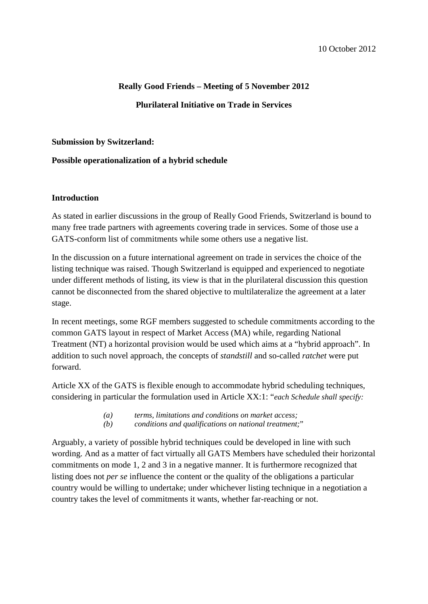# **Really Good Friends – Meeting of 5 November 2012 Plurilateral Initiative on Trade in Services**

#### **Submission by Switzerland:**

## **Possible operationalization of a hybrid schedule**

#### **Introduction**

As stated in earlier discussions in the group of Really Good Friends, Switzerland is bound to many free trade partners with agreements covering trade in services. Some of those use a GATS-conform list of commitments while some others use a negative list.

In the discussion on a future international agreement on trade in services the choice of the listing technique was raised. Though Switzerland is equipped and experienced to negotiate under different methods of listing, its view is that in the plurilateral discussion this question cannot be disconnected from the shared objective to multilateralize the agreement at a later stage.

In recent meetings, some RGF members suggested to schedule commitments according to the common GATS layout in respect of Market Access (MA) while, regarding National Treatment (NT) a horizontal provision would be used which aims at a "hybrid approach". In addition to such novel approach, the concepts of *standstill* and so-called *ratchet* were put forward.

Article XX of the GATS is flexible enough to accommodate hybrid scheduling techniques, considering in particular the formulation used in Article XX:1: "*each Schedule shall specify:*

- *(a) terms, limitations and conditions on market access;*
- *(b) conditions and qualifications on national treatment;*"

Arguably, a variety of possible hybrid techniques could be developed in line with such wording. And as a matter of fact virtually all GATS Members have scheduled their horizontal commitments on mode 1, 2 and 3 in a negative manner. It is furthermore recognized that listing does not *per se* influence the content or the quality of the obligations a particular country would be willing to undertake; under whichever listing technique in a negotiation a country takes the level of commitments it wants, whether far-reaching or not.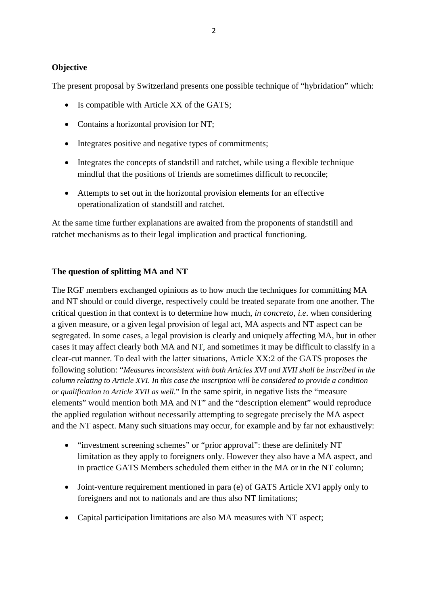#### **Objective**

The present proposal by Switzerland presents one possible technique of "hybridation" which:

- Is compatible with Article XX of the GATS;
- Contains a horizontal provision for NT;
- Integrates positive and negative types of commitments;
- Integrates the concepts of standstill and ratchet, while using a flexible technique mindful that the positions of friends are sometimes difficult to reconcile;
- Attempts to set out in the horizontal provision elements for an effective operationalization of standstill and ratchet.

At the same time further explanations are awaited from the proponents of standstill and ratchet mechanisms as to their legal implication and practical functioning.

#### **The question of splitting MA and NT**

The RGF members exchanged opinions as to how much the techniques for committing MA and NT should or could diverge, respectively could be treated separate from one another. The critical question in that context is to determine how much, *in concreto*, *i.e*. when considering a given measure, or a given legal provision of legal act, MA aspects and NT aspect can be segregated. In some cases, a legal provision is clearly and uniquely affecting MA, but in other cases it may affect clearly both MA and NT, and sometimes it may be difficult to classify in a clear-cut manner. To deal with the latter situations, Article XX:2 of the GATS proposes the following solution: "*Measures inconsistent with both Articles XVI and XVII shall be inscribed in the column relating to Article XVI. In this case the inscription will be considered to provide a condition or qualification to Article XVII as well*." In the same spirit, in negative lists the "measure elements" would mention both MA and NT" and the "description element" would reproduce the applied regulation without necessarily attempting to segregate precisely the MA aspect and the NT aspect. Many such situations may occur, for example and by far not exhaustively:

- "investment screening schemes" or "prior approval": these are definitely NT limitation as they apply to foreigners only. However they also have a MA aspect, and in practice GATS Members scheduled them either in the MA or in the NT column;
- Joint-venture requirement mentioned in para (e) of GATS Article XVI apply only to foreigners and not to nationals and are thus also NT limitations;
- Capital participation limitations are also MA measures with NT aspect;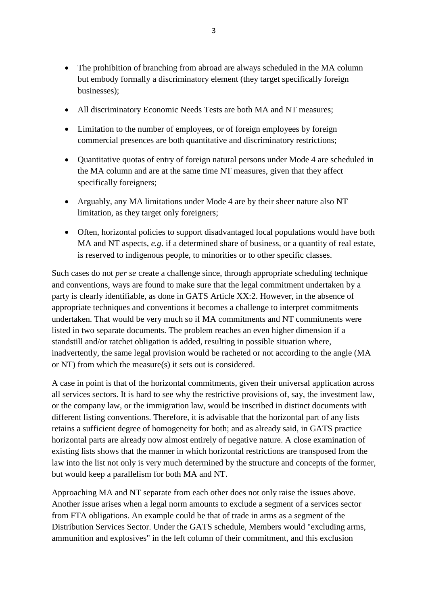- The prohibition of branching from abroad are always scheduled in the MA column but embody formally a discriminatory element (they target specifically foreign businesses);
- All discriminatory Economic Needs Tests are both MA and NT measures;
- Limitation to the number of employees, or of foreign employees by foreign commercial presences are both quantitative and discriminatory restrictions;
- Quantitative quotas of entry of foreign natural persons under Mode 4 are scheduled in the MA column and are at the same time NT measures, given that they affect specifically foreigners;
- Arguably, any MA limitations under Mode 4 are by their sheer nature also NT limitation, as they target only foreigners;
- Often, horizontal policies to support disadvantaged local populations would have both MA and NT aspects, *e.g*. if a determined share of business, or a quantity of real estate, is reserved to indigenous people, to minorities or to other specific classes.

Such cases do not *per se* create a challenge since, through appropriate scheduling technique and conventions, ways are found to make sure that the legal commitment undertaken by a party is clearly identifiable, as done in GATS Article XX:2. However, in the absence of appropriate techniques and conventions it becomes a challenge to interpret commitments undertaken. That would be very much so if MA commitments and NT commitments were listed in two separate documents. The problem reaches an even higher dimension if a standstill and/or ratchet obligation is added, resulting in possible situation where, inadvertently, the same legal provision would be racheted or not according to the angle (MA or NT) from which the measure(s) it sets out is considered.

A case in point is that of the horizontal commitments, given their universal application across all services sectors. It is hard to see why the restrictive provisions of, say, the investment law, or the company law, or the immigration law, would be inscribed in distinct documents with different listing conventions. Therefore, it is advisable that the horizontal part of any lists retains a sufficient degree of homogeneity for both; and as already said, in GATS practice horizontal parts are already now almost entirely of negative nature. A close examination of existing lists shows that the manner in which horizontal restrictions are transposed from the law into the list not only is very much determined by the structure and concepts of the former, but would keep a parallelism for both MA and NT.

Approaching MA and NT separate from each other does not only raise the issues above. Another issue arises when a legal norm amounts to exclude a segment of a services sector from FTA obligations. An example could be that of trade in arms as a segment of the Distribution Services Sector. Under the GATS schedule, Members would "excluding arms, ammunition and explosives" in the left column of their commitment, and this exclusion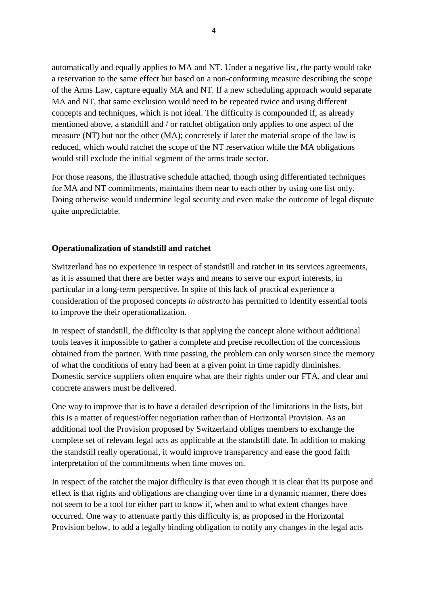automatically and equally applies to MA and NT. Under a negative list, the party would take a reservation to the same effect but based on a non-conforming measure describing the scope of the Arms Law, capture equally MA and NT. If a new scheduling approach would separate MA and NT, that same exclusion would need to be repeated twice and using different concepts and techniques, which is not ideal. The difficulty is compounded if, as already mentioned above, a standtill and / or ratchet obligation only applies to one aspect of the measure (NT) but not the other (MA); concretely if later the material scope of the law is reduced, which would ratchet the scope of the NT reservation while the MA obligations would still exclude the initial segment of the arms trade sector.

For those reasons, the illustrative schedule attached, though using differentiated techniques for MA and NT commitments, maintains them near to each other by using one list only. Doing otherwise would undermine legal security and even make the outcome of legal dispute quite unpredictable.

#### **Operationalization of standstill and ratchet**

Switzerland has no experience in respect of standstill and ratchet in its services agreements, as it is assumed that there are better ways and means to serve our export interests, in particular in a long-term perspective. In spite of this lack of practical experience a consideration of the proposed concepts *in abstracto* has permitted to identify essential tools to improve the their operationalization.

In respect of standstill, the difficulty is that applying the concept alone without additional tools leaves it impossible to gather a complete and precise recollection of the concessions obtained from the partner. With time passing, the problem can only worsen since the memory of what the conditions of entry had been at a given point in time rapidly diminishes. Domestic service suppliers often enquire what are their rights under our FTA, and clear and concrete answers must be delivered.

One way to improve that is to have a detailed description of the limitations in the lists, but this is a matter of request/offer negotiation rather than of Horizontal Provision. As an additional tool the Provision proposed by Switzerland obliges members to exchange the complete set of relevant legal acts as applicable at the standstill date. In addition to making the standstill really operational, it would improve transparency and ease the good faith interpretation of the commitments when time moves on.

In respect of the ratchet the major difficulty is that even though it is clear that its purpose and effect is that rights and obligations are changing over time in a dynamic manner, there does not seem to be a tool for either part to know if, when and to what extent changes have occurred. One way to attenuate partly this difficulty is, as proposed in the Horizontal Provision below, to add a legally binding obligation to notify any changes in the legal acts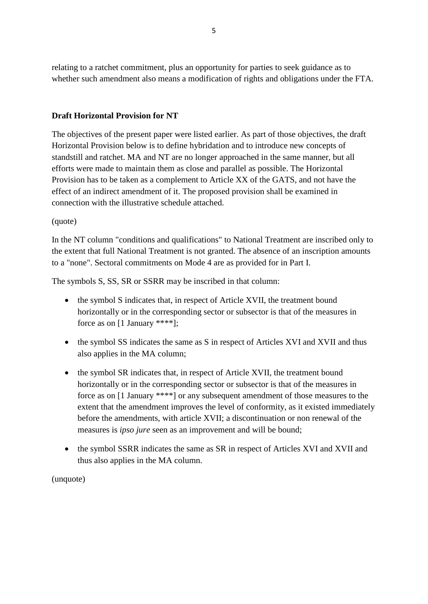relating to a ratchet commitment, plus an opportunity for parties to seek guidance as to whether such amendment also means a modification of rights and obligations under the FTA.

# **Draft Horizontal Provision for NT**

The objectives of the present paper were listed earlier. As part of those objectives, the draft Horizontal Provision below is to define hybridation and to introduce new concepts of standstill and ratchet. MA and NT are no longer approached in the same manner, but all efforts were made to maintain them as close and parallel as possible. The Horizontal Provision has to be taken as a complement to Article XX of the GATS, and not have the effect of an indirect amendment of it. The proposed provision shall be examined in connection with the illustrative schedule attached.

## (quote)

In the NT column "conditions and qualifications" to National Treatment are inscribed only to the extent that full National Treatment is not granted. The absence of an inscription amounts to a "none". Sectoral commitments on Mode 4 are as provided for in Part I.

The symbols S, SS, SR or SSRR may be inscribed in that column:

- the symbol S indicates that, in respect of Article XVII, the treatment bound horizontally or in the corresponding sector or subsector is that of the measures in force as on [1 January \*\*\*\*];
- the symbol SS indicates the same as S in respect of Articles XVI and XVII and thus also applies in the MA column;
- the symbol SR indicates that, in respect of Article XVII, the treatment bound horizontally or in the corresponding sector or subsector is that of the measures in force as on [1 January \*\*\*\*] or any subsequent amendment of those measures to the extent that the amendment improves the level of conformity, as it existed immediately before the amendments, with article XVII; a discontinuation or non renewal of the measures is *ipso jure* seen as an improvement and will be bound;
- the symbol SSRR indicates the same as SR in respect of Articles XVI and XVII and thus also applies in the MA column.

(unquote)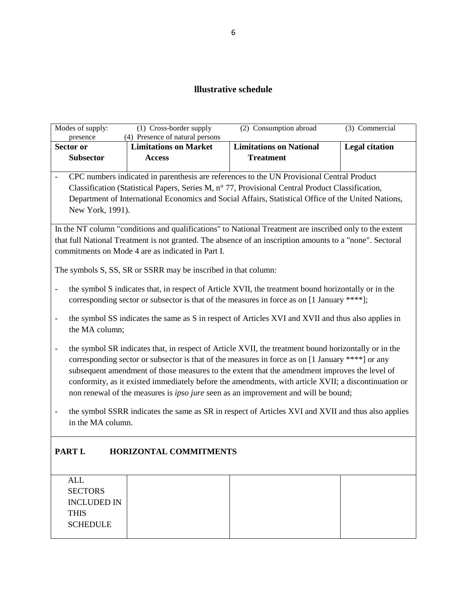# **lllustrative schedule**

|                          | Modes of supply:<br>presence | (1) Cross-border supply<br>(4) Presence of natural persons     | (2) Consumption abroad                                                                                                                                                                                              | (3) Commercial        |
|--------------------------|------------------------------|----------------------------------------------------------------|---------------------------------------------------------------------------------------------------------------------------------------------------------------------------------------------------------------------|-----------------------|
|                          | Sector or                    | <b>Limitations on Market</b>                                   | <b>Limitations on National</b>                                                                                                                                                                                      | <b>Legal citation</b> |
|                          | <b>Subsector</b>             | <b>Access</b>                                                  | <b>Treatment</b>                                                                                                                                                                                                    |                       |
| $\overline{\phantom{a}}$ |                              |                                                                | CPC numbers indicated in parenthesis are references to the UN Provisional Central Product                                                                                                                           |                       |
|                          |                              |                                                                | Classification (Statistical Papers, Series M, n° 77, Provisional Central Product Classification,                                                                                                                    |                       |
|                          |                              |                                                                | Department of International Economics and Social Affairs, Statistical Office of the United Nations,                                                                                                                 |                       |
|                          | New York, 1991).             |                                                                |                                                                                                                                                                                                                     |                       |
|                          |                              |                                                                |                                                                                                                                                                                                                     |                       |
|                          |                              |                                                                | In the NT column "conditions and qualifications" to National Treatment are inscribed only to the extent<br>that full National Treatment is not granted. The absence of an inscription amounts to a "none". Sectoral |                       |
|                          |                              | commitments on Mode 4 are as indicated in Part I.              |                                                                                                                                                                                                                     |                       |
|                          |                              |                                                                |                                                                                                                                                                                                                     |                       |
|                          |                              | The symbols S, SS, SR or SSRR may be inscribed in that column: |                                                                                                                                                                                                                     |                       |
| $\overline{\phantom{0}}$ |                              |                                                                | the symbol S indicates that, in respect of Article XVII, the treatment bound horizontally or in the                                                                                                                 |                       |
|                          |                              |                                                                | corresponding sector or subsector is that of the measures in force as on [1 January ****];                                                                                                                          |                       |
|                          |                              |                                                                |                                                                                                                                                                                                                     |                       |
|                          |                              |                                                                | the symbol SS indicates the same as S in respect of Articles XVI and XVII and thus also applies in                                                                                                                  |                       |
|                          | the MA column;               |                                                                |                                                                                                                                                                                                                     |                       |
| $\overline{\phantom{0}}$ |                              |                                                                | the symbol SR indicates that, in respect of Article XVII, the treatment bound horizontally or in the                                                                                                                |                       |
|                          |                              |                                                                | corresponding sector or subsector is that of the measures in force as on [1 January ****] or any                                                                                                                    |                       |
|                          |                              |                                                                | subsequent amendment of those measures to the extent that the amendment improves the level of                                                                                                                       |                       |
|                          |                              |                                                                | conformity, as it existed immediately before the amendments, with article XVII; a discontinuation or                                                                                                                |                       |
|                          |                              |                                                                | non renewal of the measures is <i>ipso jure</i> seen as an improvement and will be bound;                                                                                                                           |                       |
| $\overline{\phantom{0}}$ |                              |                                                                | the symbol SSRR indicates the same as SR in respect of Articles XVI and XVII and thus also applies                                                                                                                  |                       |
|                          | in the MA column.            |                                                                |                                                                                                                                                                                                                     |                       |
|                          |                              |                                                                |                                                                                                                                                                                                                     |                       |
|                          | PART I.                      | <b>HORIZONTAL COMMITMENTS</b>                                  |                                                                                                                                                                                                                     |                       |
|                          |                              |                                                                |                                                                                                                                                                                                                     |                       |
|                          | <b>ALL</b>                   |                                                                |                                                                                                                                                                                                                     |                       |
|                          | <b>SECTORS</b>               |                                                                |                                                                                                                                                                                                                     |                       |
|                          | <b>INCLUDED IN</b>           |                                                                |                                                                                                                                                                                                                     |                       |
|                          | <b>THIS</b>                  |                                                                |                                                                                                                                                                                                                     |                       |
|                          | <b>SCHEDULE</b>              |                                                                |                                                                                                                                                                                                                     |                       |
|                          |                              |                                                                |                                                                                                                                                                                                                     |                       |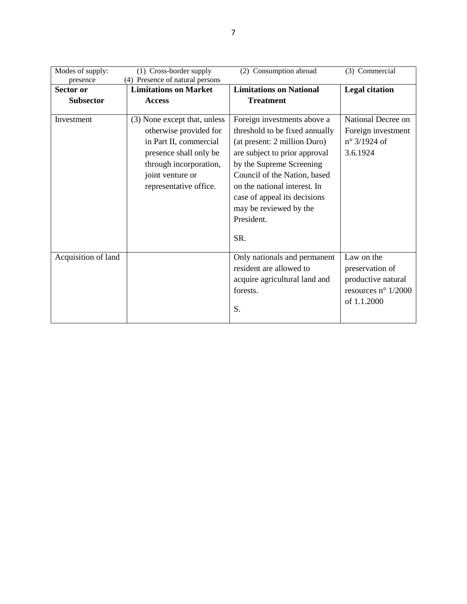| Modes of supply:    | (1) Cross-border supply         | (2) Consumption abroad         | (3) Commercial               |
|---------------------|---------------------------------|--------------------------------|------------------------------|
| presence            | (4) Presence of natural persons |                                |                              |
| Sector or           | <b>Limitations on Market</b>    | <b>Limitations on National</b> | <b>Legal citation</b>        |
| <b>Subsector</b>    | <b>Access</b>                   | <b>Treatment</b>               |                              |
|                     |                                 |                                |                              |
| Investment          | (3) None except that, unless    | Foreign investments above a    | National Decree on           |
|                     | otherwise provided for          | threshold to be fixed annually | Foreign investment           |
|                     | in Part II, commercial          | (at present: 2 million Duro)   | $n^{\circ}$ 3/1924 of        |
|                     | presence shall only be          | are subject to prior approval  | 3.6.1924                     |
|                     | through incorporation,          | by the Supreme Screening       |                              |
|                     | joint venture or                | Council of the Nation, based   |                              |
|                     | representative office.          | on the national interest. In   |                              |
|                     |                                 | case of appeal its decisions   |                              |
|                     |                                 | may be reviewed by the         |                              |
|                     |                                 | President.                     |                              |
|                     |                                 | SR.                            |                              |
| Acquisition of land |                                 | Only nationals and permanent   | Law on the                   |
|                     |                                 | resident are allowed to        | preservation of              |
|                     |                                 | acquire agricultural land and  | productive natural           |
|                     |                                 | forests.                       | resources $n^{\circ}$ 1/2000 |
|                     |                                 |                                | of 1.1.2000                  |
|                     |                                 | S.                             |                              |
|                     |                                 |                                |                              |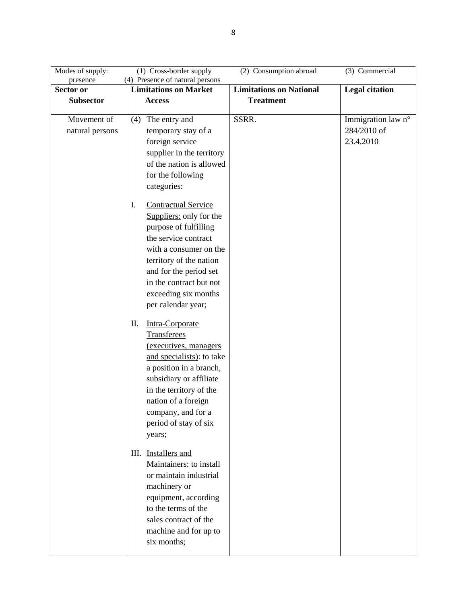| Modes of supply:<br>presence   | (1) Cross-border supply<br>(4) Presence of natural persons                                                                                                                                                                                                           | (2) Consumption abroad         | (3) Commercial                                 |
|--------------------------------|----------------------------------------------------------------------------------------------------------------------------------------------------------------------------------------------------------------------------------------------------------------------|--------------------------------|------------------------------------------------|
| Sector or                      | <b>Limitations on Market</b>                                                                                                                                                                                                                                         | <b>Limitations on National</b> | <b>Legal citation</b>                          |
| <b>Subsector</b>               | <b>Access</b>                                                                                                                                                                                                                                                        | <b>Treatment</b>               |                                                |
| Movement of<br>natural persons | The entry and<br>(4)<br>temporary stay of a<br>foreign service<br>supplier in the territory<br>of the nation is allowed<br>for the following<br>categories:                                                                                                          | SSRR.                          | Immigration law n°<br>284/2010 of<br>23.4.2010 |
|                                | <b>Contractual Service</b><br>I.<br>Suppliers: only for the<br>purpose of fulfilling<br>the service contract<br>with a consumer on the<br>territory of the nation<br>and for the period set<br>in the contract but not<br>exceeding six months<br>per calendar year; |                                |                                                |
|                                | Intra-Corporate<br>П.<br>Transferees<br>(executives, managers<br>and specialists): to take<br>a position in a branch,<br>subsidiary or affiliate<br>in the territory of the<br>nation of a foreign<br>company, and for a<br>period of stay of six<br>years;          |                                |                                                |
|                                | III. Installers and<br>Maintainers: to install<br>or maintain industrial<br>machinery or<br>equipment, according<br>to the terms of the<br>sales contract of the<br>machine and for up to<br>six months;                                                             |                                |                                                |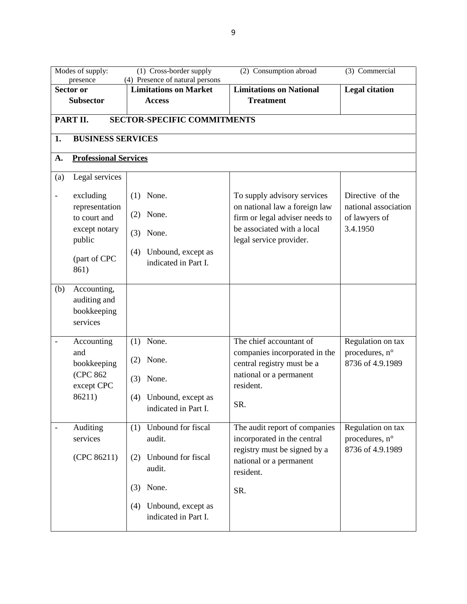| (1) Cross-border supply<br>(3) Commercial<br>Modes of supply:<br>(2) Consumption abroad |                              |                              |                                    |                                |                       |  |  |
|-----------------------------------------------------------------------------------------|------------------------------|------------------------------|------------------------------------|--------------------------------|-----------------------|--|--|
|                                                                                         | presence                     |                              | (4) Presence of natural persons    |                                |                       |  |  |
|                                                                                         | Sector or                    | <b>Limitations on Market</b> |                                    | <b>Limitations on National</b> | <b>Legal citation</b> |  |  |
|                                                                                         | <b>Subsector</b>             | <b>Access</b>                |                                    | <b>Treatment</b>               |                       |  |  |
|                                                                                         |                              |                              |                                    |                                |                       |  |  |
|                                                                                         | PART II.                     |                              | <b>SECTOR-SPECIFIC COMMITMENTS</b> |                                |                       |  |  |
| 1.                                                                                      | <b>BUSINESS SERVICES</b>     |                              |                                    |                                |                       |  |  |
|                                                                                         |                              |                              |                                    |                                |                       |  |  |
| A.                                                                                      | <b>Professional Services</b> |                              |                                    |                                |                       |  |  |
| (a)                                                                                     | Legal services               |                              |                                    |                                |                       |  |  |
| $\overline{\phantom{0}}$                                                                | excluding                    | $(1)$ None.                  |                                    | To supply advisory services    | Directive of the      |  |  |
|                                                                                         | representation               |                              |                                    | on national law a foreign law  | national association  |  |  |
|                                                                                         | to court and                 | $(2)$ None.                  |                                    | firm or legal adviser needs to | of lawyers of         |  |  |
|                                                                                         | except notary                |                              |                                    | be associated with a local     | 3.4.1950              |  |  |
|                                                                                         | public                       | $(3)$ None.                  |                                    | legal service provider.        |                       |  |  |
|                                                                                         |                              | (4)                          | Unbound, except as                 |                                |                       |  |  |
|                                                                                         | (part of CPC                 |                              | indicated in Part I.               |                                |                       |  |  |
|                                                                                         | 861)                         |                              |                                    |                                |                       |  |  |
|                                                                                         |                              |                              |                                    |                                |                       |  |  |
| (b)                                                                                     | Accounting,                  |                              |                                    |                                |                       |  |  |
|                                                                                         | auditing and                 |                              |                                    |                                |                       |  |  |
|                                                                                         | bookkeeping                  |                              |                                    |                                |                       |  |  |
|                                                                                         | services                     |                              |                                    |                                |                       |  |  |
|                                                                                         | Accounting                   | None.<br>(1)                 |                                    | The chief accountant of        | Regulation on tax     |  |  |
|                                                                                         | and                          |                              |                                    | companies incorporated in the  | procedures, n°        |  |  |
|                                                                                         | bookkeeping                  | None.<br>(2)                 |                                    | central registry must be a     | 8736 of 4.9.1989      |  |  |
|                                                                                         | (CPC 862)                    |                              |                                    | national or a permanent        |                       |  |  |
|                                                                                         | except CPC                   | None.<br>(3)                 |                                    | resident.                      |                       |  |  |
|                                                                                         | 86211)                       | (4)                          | Unbound, except as                 |                                |                       |  |  |
|                                                                                         |                              |                              | indicated in Part I.               | SR.                            |                       |  |  |
|                                                                                         |                              |                              |                                    |                                |                       |  |  |
|                                                                                         | Auditing                     | (1)                          | Unbound for fiscal                 | The audit report of companies  | Regulation on tax     |  |  |
|                                                                                         | services                     | audit.                       |                                    | incorporated in the central    | procedures, n°        |  |  |
|                                                                                         |                              |                              |                                    | registry must be signed by a   | 8736 of 4.9.1989      |  |  |
|                                                                                         | (CPC 86211)                  | (2)                          | Unbound for fiscal                 | national or a permanent        |                       |  |  |
|                                                                                         |                              | audit.                       |                                    | resident.                      |                       |  |  |
|                                                                                         |                              | None.<br>(3)                 |                                    |                                |                       |  |  |
|                                                                                         |                              |                              |                                    | SR.                            |                       |  |  |
|                                                                                         |                              | (4)                          | Unbound, except as                 |                                |                       |  |  |
|                                                                                         |                              |                              | indicated in Part I.               |                                |                       |  |  |
|                                                                                         |                              |                              |                                    |                                |                       |  |  |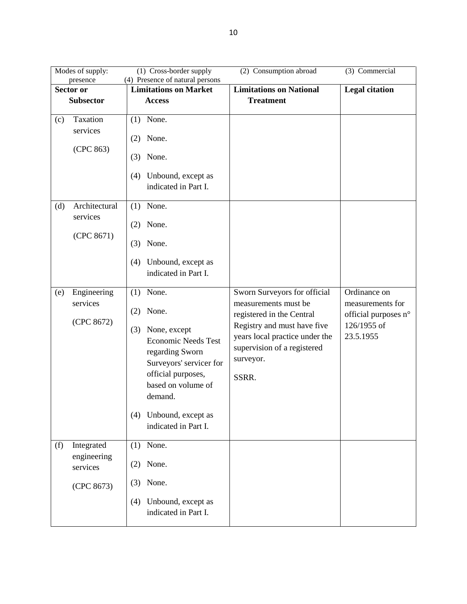|                  | (2) Consumption abroad<br>$(3)$ Commercial<br>Modes of supply:<br>(1) Cross-border supply |                                                                 |                                                          |                                     |  |
|------------------|-------------------------------------------------------------------------------------------|-----------------------------------------------------------------|----------------------------------------------------------|-------------------------------------|--|
|                  | presence<br><b>Sector or</b>                                                              | (4) Presence of natural persons<br><b>Limitations on Market</b> | <b>Limitations on National</b>                           | <b>Legal citation</b>               |  |
| <b>Subsector</b> |                                                                                           | <b>Access</b>                                                   | <b>Treatment</b>                                         |                                     |  |
|                  |                                                                                           |                                                                 |                                                          |                                     |  |
| (c)              | Taxation                                                                                  | $(1)$ None.                                                     |                                                          |                                     |  |
|                  | services                                                                                  | None.<br>(2)                                                    |                                                          |                                     |  |
|                  | (CPC 863)                                                                                 | None.<br>(3)                                                    |                                                          |                                     |  |
|                  |                                                                                           | Unbound, except as<br>(4)<br>indicated in Part I.               |                                                          |                                     |  |
| (d)              | Architectural                                                                             | $(1)$ None.                                                     |                                                          |                                     |  |
|                  | services<br>(CPC 8671)                                                                    | None.<br>(2)                                                    |                                                          |                                     |  |
|                  |                                                                                           | None.<br>(3)                                                    |                                                          |                                     |  |
|                  |                                                                                           | Unbound, except as<br>(4)<br>indicated in Part I.               |                                                          |                                     |  |
| (e)              | Engineering<br>services                                                                   | (1)<br>None.                                                    | Sworn Surveyors for official<br>measurements must be     | Ordinance on<br>measurements for    |  |
|                  | (CPC 8672)                                                                                | None.<br>(2)                                                    | registered in the Central<br>Registry and must have five | official purposes n°<br>126/1955 of |  |
|                  |                                                                                           | None, except<br>(3)<br><b>Economic Needs Test</b>               | years local practice under the                           | 23.5.1955                           |  |
|                  |                                                                                           | regarding Sworn<br>Surveyors' servicer for                      | supervision of a registered<br>surveyor.                 |                                     |  |
|                  |                                                                                           | official purposes,<br>based on volume of                        | SSRR.                                                    |                                     |  |
|                  |                                                                                           | demand.                                                         |                                                          |                                     |  |
|                  |                                                                                           | Unbound, except as<br>(4)<br>indicated in Part I.               |                                                          |                                     |  |
| (f)              | Integrated                                                                                | None.<br>(1)                                                    |                                                          |                                     |  |
|                  | engineering<br>services                                                                   | $(2)$ None.                                                     |                                                          |                                     |  |
|                  | (CPC 8673)                                                                                | None.<br>(3)                                                    |                                                          |                                     |  |
|                  |                                                                                           | Unbound, except as<br>(4)<br>indicated in Part I.               |                                                          |                                     |  |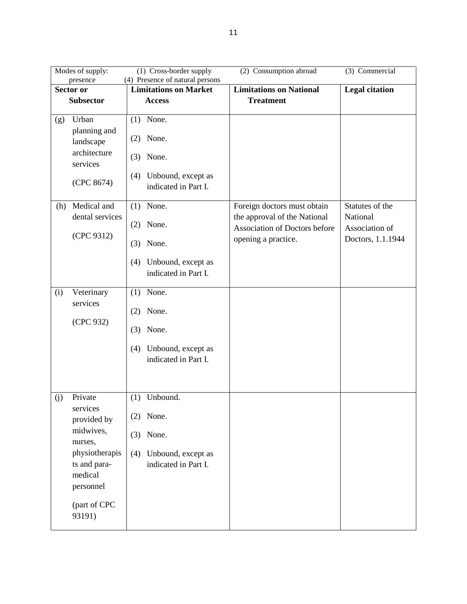|     | Modes of supply:<br>(1) Cross-border supply<br>(2) Consumption abroad<br>(3) Commercial |                                                                                                                            |  |  |  |
|-----|-----------------------------------------------------------------------------------------|----------------------------------------------------------------------------------------------------------------------------|--|--|--|
|     | presence<br><b>Sector or</b>                                                            | (4) Presence of natural persons<br><b>Limitations on Market</b><br><b>Limitations on National</b><br><b>Legal citation</b> |  |  |  |
|     | <b>Subsector</b>                                                                        | <b>Treatment</b>                                                                                                           |  |  |  |
|     |                                                                                         | <b>Access</b>                                                                                                              |  |  |  |
| (g) | Urban                                                                                   | $(1)$ None.                                                                                                                |  |  |  |
|     | planning and<br>landscape                                                               | None.<br>(2)                                                                                                               |  |  |  |
|     | architecture<br>services                                                                | None.<br>(3)                                                                                                               |  |  |  |
|     | (CPC 8674)                                                                              | Unbound, except as<br>(4)<br>indicated in Part I.                                                                          |  |  |  |
| (h) | Medical and                                                                             | Statutes of the<br>$(1)$ None.<br>Foreign doctors must obtain                                                              |  |  |  |
|     | dental services                                                                         | the approval of the National<br>National                                                                                   |  |  |  |
|     |                                                                                         | None.<br>(2)<br>Association of Doctors before<br>Association of                                                            |  |  |  |
|     | (CPC 9312)                                                                              | opening a practice.<br>Doctors, 1.1.1944<br>None.<br>(3)                                                                   |  |  |  |
|     |                                                                                         | Unbound, except as<br>(4)<br>indicated in Part I.                                                                          |  |  |  |
| (i) | Veterinary<br>services                                                                  | None.<br>(1)                                                                                                               |  |  |  |
|     |                                                                                         | None.<br>(2)                                                                                                               |  |  |  |
|     | (CPC 932)                                                                               | None.<br>(3)                                                                                                               |  |  |  |
|     |                                                                                         | Unbound, except as<br>(4)                                                                                                  |  |  |  |
|     |                                                                                         | indicated in Part I.                                                                                                       |  |  |  |
|     |                                                                                         |                                                                                                                            |  |  |  |
| (j) | Private                                                                                 | Unbound.<br>(1)                                                                                                            |  |  |  |
|     | services                                                                                |                                                                                                                            |  |  |  |
|     | provided by                                                                             | $(2)$ None.                                                                                                                |  |  |  |
|     | midwives,<br>nurses,                                                                    | $(3)$ None.                                                                                                                |  |  |  |
|     | physiotherapis                                                                          | Unbound, except as<br>(4)                                                                                                  |  |  |  |
|     | ts and para-                                                                            | indicated in Part I.                                                                                                       |  |  |  |
|     | medical                                                                                 |                                                                                                                            |  |  |  |
|     | personnel                                                                               |                                                                                                                            |  |  |  |
|     | (part of CPC<br>93191)                                                                  |                                                                                                                            |  |  |  |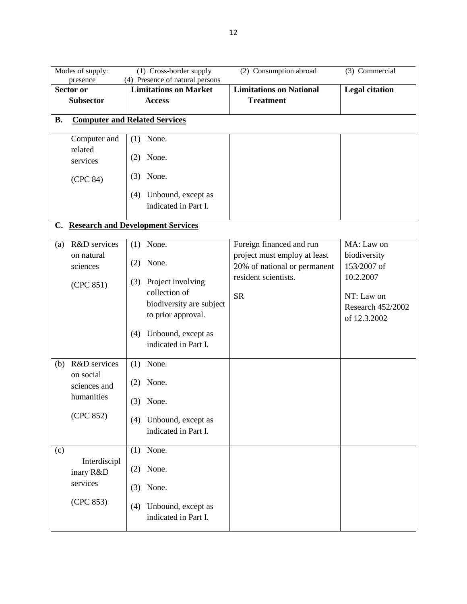|           | (2) Consumption abroad<br>$(3)$ Commercial<br>Modes of supply:<br>(1) Cross-border supply |                                                   |                                                      |                                   |  |
|-----------|-------------------------------------------------------------------------------------------|---------------------------------------------------|------------------------------------------------------|-----------------------------------|--|
|           | presence                                                                                  | (4) Presence of natural persons                   |                                                      |                                   |  |
|           | <b>Sector or</b>                                                                          | <b>Limitations on Market</b>                      | <b>Limitations on National</b>                       | <b>Legal citation</b>             |  |
|           | <b>Subsector</b>                                                                          | <b>Access</b>                                     | <b>Treatment</b>                                     |                                   |  |
| <b>B.</b> |                                                                                           | <b>Computer and Related Services</b>              |                                                      |                                   |  |
|           | Computer and<br>related                                                                   | None.<br>(1)                                      |                                                      |                                   |  |
|           | services                                                                                  | None.<br>(2)                                      |                                                      |                                   |  |
|           | (CPC 84)                                                                                  | None.<br>(3)                                      |                                                      |                                   |  |
|           |                                                                                           | Unbound, except as<br>(4)                         |                                                      |                                   |  |
|           |                                                                                           | indicated in Part I.                              |                                                      |                                   |  |
|           |                                                                                           | C. Research and Development Services              |                                                      |                                   |  |
| (a)       | R&D services                                                                              | $(1)$ None.                                       | Foreign financed and run                             | MA: Law on                        |  |
|           | on natural                                                                                | None.<br>(2)                                      | project must employ at least                         | biodiversity                      |  |
|           | sciences                                                                                  |                                                   | 20% of national or permanent<br>resident scientists. | 153/2007 of<br>10.2.2007          |  |
|           | (CPC 851)                                                                                 | Project involving<br>(3)<br>collection of         |                                                      |                                   |  |
|           |                                                                                           | biodiversity are subject                          | <b>SR</b>                                            | NT: Law on                        |  |
|           |                                                                                           | to prior approval.                                |                                                      | Research 452/2002<br>of 12.3.2002 |  |
|           |                                                                                           |                                                   |                                                      |                                   |  |
|           |                                                                                           | Unbound, except as<br>(4)<br>indicated in Part I. |                                                      |                                   |  |
|           |                                                                                           |                                                   |                                                      |                                   |  |
| (b)       | R&D services                                                                              | None.<br>(1)                                      |                                                      |                                   |  |
|           | on social<br>sciences and                                                                 | None.<br>(2)                                      |                                                      |                                   |  |
|           | humanities                                                                                | None.<br>(3)                                      |                                                      |                                   |  |
|           | (CPC 852)                                                                                 | Unbound, except as<br>(4)                         |                                                      |                                   |  |
|           |                                                                                           | indicated in Part I.                              |                                                      |                                   |  |
| (c)       |                                                                                           | None.<br>(1)                                      |                                                      |                                   |  |
|           | Interdiscipl<br>inary R&D                                                                 | None.<br>(2)                                      |                                                      |                                   |  |
|           | services                                                                                  | None.<br>(3)                                      |                                                      |                                   |  |
|           | (CPC 853)                                                                                 | Unbound, except as<br>(4)<br>indicated in Part I. |                                                      |                                   |  |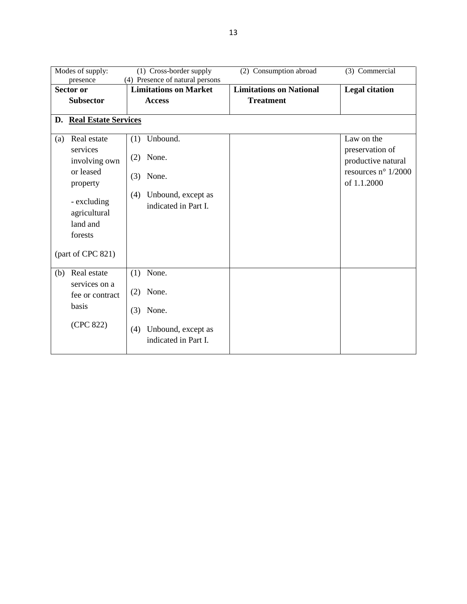| Modes of supply: |                             | (1) Cross-border supply         | (2) Consumption abroad         | (3) Commercial        |
|------------------|-----------------------------|---------------------------------|--------------------------------|-----------------------|
|                  | presence                    | (4) Presence of natural persons |                                |                       |
|                  | Sector or                   | <b>Limitations on Market</b>    | <b>Limitations on National</b> | <b>Legal citation</b> |
|                  | <b>Subsector</b>            | <b>Access</b>                   | <b>Treatment</b>               |                       |
|                  |                             |                                 |                                |                       |
| D.               | <b>Real Estate Services</b> |                                 |                                |                       |
|                  |                             |                                 |                                |                       |
| (a)              | Real estate                 | Unbound.<br>(1)                 |                                | Law on the            |
|                  | services                    |                                 |                                | preservation of       |
|                  | involving own               | None.<br>(2)                    |                                | productive natural    |
|                  | or leased                   |                                 |                                | resources n° $1/2000$ |
|                  |                             | None.<br>(3)                    |                                | of 1.1.2000           |
|                  | property                    |                                 |                                |                       |
|                  |                             | Unbound, except as<br>(4)       |                                |                       |
|                  | - excluding                 | indicated in Part I.            |                                |                       |
|                  | agricultural                |                                 |                                |                       |
|                  | land and                    |                                 |                                |                       |
|                  | forests                     |                                 |                                |                       |
|                  |                             |                                 |                                |                       |
|                  | (part of CPC 821)           |                                 |                                |                       |
|                  |                             |                                 |                                |                       |
| (b)              | Real estate                 | None.<br>(1)                    |                                |                       |
|                  | services on a               |                                 |                                |                       |
|                  | fee or contract             | None.<br>(2)                    |                                |                       |
|                  | basis                       |                                 |                                |                       |
|                  |                             | None.<br>(3)                    |                                |                       |
|                  | (CPC 822)                   |                                 |                                |                       |
|                  |                             | Unbound, except as<br>(4)       |                                |                       |
|                  |                             | indicated in Part I.            |                                |                       |
|                  |                             |                                 |                                |                       |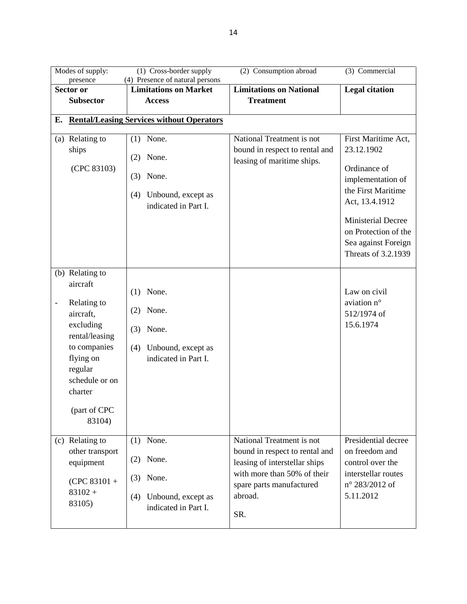| Modes of supply:                        | (1) Cross-border supply                          | (2) Consumption abroad         | (3) Commercial                          |
|-----------------------------------------|--------------------------------------------------|--------------------------------|-----------------------------------------|
| presence                                | (4) Presence of natural persons                  |                                |                                         |
| Sector or                               | <b>Limitations on Market</b>                     | <b>Limitations on National</b> | <b>Legal citation</b>                   |
| <b>Subsector</b>                        | <b>Access</b>                                    | <b>Treatment</b>               |                                         |
| Е.                                      | <b>Rental/Leasing Services without Operators</b> |                                |                                         |
|                                         |                                                  |                                |                                         |
| (a) Relating to                         | None.<br>(1)                                     | National Treatment is not      | First Maritime Act,                     |
| ships                                   |                                                  | bound in respect to rental and | 23.12.1902                              |
|                                         | None.<br>(2)                                     | leasing of maritime ships.     | Ordinance of                            |
| (CPC 83103)                             | None.<br>(3)                                     |                                |                                         |
|                                         |                                                  |                                | implementation of<br>the First Maritime |
|                                         | Unbound, except as<br>(4)                        |                                |                                         |
|                                         | indicated in Part I.                             |                                | Act, 13.4.1912                          |
|                                         |                                                  |                                | <b>Ministerial Decree</b>               |
|                                         |                                                  |                                | on Protection of the                    |
|                                         |                                                  |                                | Sea against Foreign                     |
|                                         |                                                  |                                | Threats of 3.2.1939                     |
|                                         |                                                  |                                |                                         |
| (b) Relating to                         |                                                  |                                |                                         |
| aircraft                                | None.<br>(1)                                     |                                | Law on civil                            |
| Relating to<br>$\overline{\phantom{0}}$ |                                                  |                                | aviation n°                             |
| aircraft,                               | None.<br>(2)                                     |                                | 512/1974 of                             |
| excluding                               |                                                  |                                | 15.6.1974                               |
| rental/leasing                          | None.<br>(3)                                     |                                |                                         |
| to companies                            | Unbound, except as<br>(4)                        |                                |                                         |
| flying on                               | indicated in Part I.                             |                                |                                         |
| regular                                 |                                                  |                                |                                         |
| schedule or on                          |                                                  |                                |                                         |
| charter                                 |                                                  |                                |                                         |
|                                         |                                                  |                                |                                         |
| (part of CPC                            |                                                  |                                |                                         |
| 83104)                                  |                                                  |                                |                                         |
| (c) Relating to                         | $(1)$ None.                                      | National Treatment is not      | Presidential decree                     |
| other transport                         |                                                  | bound in respect to rental and | on freedom and                          |
| equipment                               | None.<br>(2)                                     | leasing of interstellar ships  | control over the                        |
|                                         |                                                  | with more than 50% of their    | interstellar routes                     |
| $(CPC 83101 +$                          | None.<br>(3)                                     | spare parts manufactured       | n° 283/2012 of                          |
| $83102 +$                               | Unbound, except as<br>(4)                        | abroad.                        | 5.11.2012                               |
| 83105)                                  | indicated in Part I.                             |                                |                                         |
|                                         |                                                  | SR.                            |                                         |
|                                         |                                                  |                                |                                         |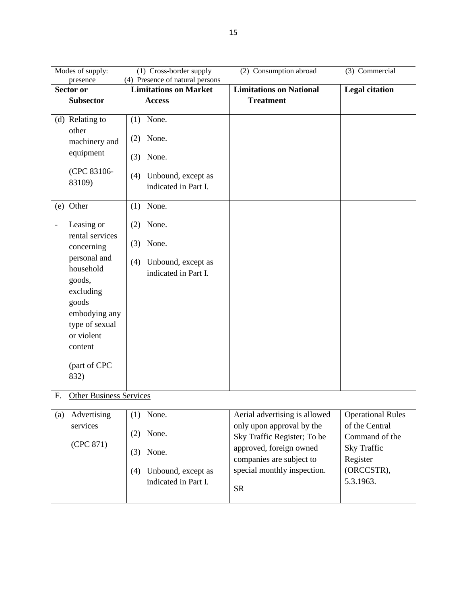| Modes of supply:                                                                                                                              | (1) Cross-border supply                                         | (2) Consumption abroad                                   | (3) Commercial                   |
|-----------------------------------------------------------------------------------------------------------------------------------------------|-----------------------------------------------------------------|----------------------------------------------------------|----------------------------------|
| presence<br>Sector or                                                                                                                         | (4) Presence of natural persons<br><b>Limitations on Market</b> | <b>Limitations on National</b>                           | <b>Legal citation</b>            |
| <b>Subsector</b>                                                                                                                              | <b>Access</b>                                                   | <b>Treatment</b>                                         |                                  |
|                                                                                                                                               |                                                                 |                                                          |                                  |
| (d) Relating to                                                                                                                               | $(1)$ None.                                                     |                                                          |                                  |
| other<br>machinery and                                                                                                                        | None.<br>(2)                                                    |                                                          |                                  |
| equipment                                                                                                                                     | None.<br>(3)                                                    |                                                          |                                  |
| (CPC 83106-<br>83109)                                                                                                                         | Unbound, except as<br>(4)<br>indicated in Part I.               |                                                          |                                  |
| (e) Other                                                                                                                                     | None.<br>(1)                                                    |                                                          |                                  |
| Leasing or<br>$\overline{\phantom{0}}$                                                                                                        | None.<br>(2)                                                    |                                                          |                                  |
| rental services<br>concerning                                                                                                                 | $(3)$ None.                                                     |                                                          |                                  |
| personal and<br>household<br>goods,<br>excluding<br>goods<br>embodying any<br>type of sexual<br>or violent<br>content<br>(part of CPC<br>832) | Unbound, except as<br>(4)<br>indicated in Part I.               |                                                          |                                  |
| F.<br><b>Other Business Services</b>                                                                                                          |                                                                 |                                                          |                                  |
| Advertising<br>(a)                                                                                                                            | None.<br>(1)                                                    | Aerial advertising is allowed                            | <b>Operational Rules</b>         |
| services                                                                                                                                      | None.<br>(2)                                                    | only upon approval by the<br>Sky Traffic Register; To be | of the Central<br>Command of the |
| (CPC 871)                                                                                                                                     | None.<br>(3)                                                    | approved, foreign owned<br>companies are subject to      | <b>Sky Traffic</b><br>Register   |
|                                                                                                                                               | Unbound, except as<br>(4)<br>indicated in Part I.               | special monthly inspection.<br>${\rm SR}$                | (ORCCSTR),<br>5.3.1963.          |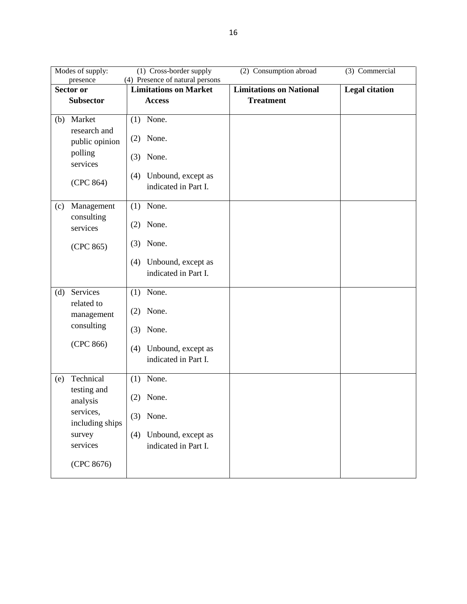|                  | (1) Cross-border supply<br>(2) Consumption abroad<br>(3) Commercial<br>Modes of supply:<br>(4) Presence of natural persons |                              |                      |                                |                       |  |
|------------------|----------------------------------------------------------------------------------------------------------------------------|------------------------------|----------------------|--------------------------------|-----------------------|--|
|                  | presence<br>Sector or                                                                                                      | <b>Limitations on Market</b> |                      | <b>Limitations on National</b> | <b>Legal citation</b> |  |
| <b>Subsector</b> |                                                                                                                            | <b>Access</b>                |                      | <b>Treatment</b>               |                       |  |
|                  |                                                                                                                            |                              |                      |                                |                       |  |
| (b)              | Market<br>research and                                                                                                     | $(1)$ None.                  |                      |                                |                       |  |
|                  | public opinion                                                                                                             | None.<br>(2)                 |                      |                                |                       |  |
|                  | polling<br>services                                                                                                        | (3)<br>None.                 |                      |                                |                       |  |
|                  |                                                                                                                            | (4)                          | Unbound, except as   |                                |                       |  |
|                  | (CPC 864)                                                                                                                  |                              | indicated in Part I. |                                |                       |  |
| (c)              | Management<br>consulting                                                                                                   | None.<br>(1)                 |                      |                                |                       |  |
|                  | services                                                                                                                   | None.<br>(2)                 |                      |                                |                       |  |
|                  | (CPC 865)                                                                                                                  | None.<br>(3)                 |                      |                                |                       |  |
|                  |                                                                                                                            | (4)                          | Unbound, except as   |                                |                       |  |
|                  |                                                                                                                            |                              | indicated in Part I. |                                |                       |  |
| (d)              | Services<br>related to                                                                                                     | None.<br>(1)                 |                      |                                |                       |  |
|                  | management                                                                                                                 | None.<br>(2)                 |                      |                                |                       |  |
|                  | consulting                                                                                                                 | None.<br>(3)                 |                      |                                |                       |  |
|                  | (CPC 866)                                                                                                                  | (4)                          | Unbound, except as   |                                |                       |  |
|                  |                                                                                                                            |                              | indicated in Part I. |                                |                       |  |
| (e)              | Technical<br>testing and                                                                                                   | None.<br>(1)                 |                      |                                |                       |  |
|                  | analysis                                                                                                                   | None.<br>(2)                 |                      |                                |                       |  |
|                  | services,<br>including ships                                                                                               | $(3)$ None.                  |                      |                                |                       |  |
|                  | survey                                                                                                                     | (4)                          | Unbound, except as   |                                |                       |  |
|                  | services                                                                                                                   |                              | indicated in Part I. |                                |                       |  |
|                  | (CPC 8676)                                                                                                                 |                              |                      |                                |                       |  |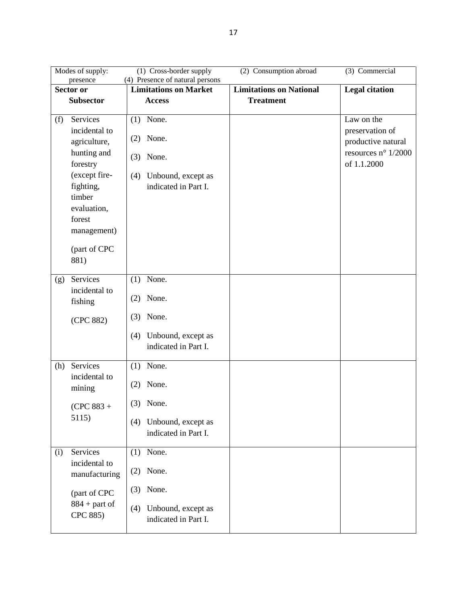|           | Modes of supply:                                                                                                            | (2) Consumption abroad                                                                           | (3) Commercial                 |                                                                                                    |
|-----------|-----------------------------------------------------------------------------------------------------------------------------|--------------------------------------------------------------------------------------------------|--------------------------------|----------------------------------------------------------------------------------------------------|
|           | presence                                                                                                                    | (4) Presence of natural persons                                                                  |                                |                                                                                                    |
| Sector or |                                                                                                                             | <b>Limitations on Market</b>                                                                     | <b>Limitations on National</b> | <b>Legal citation</b>                                                                              |
|           | <b>Subsector</b>                                                                                                            | <b>Access</b>                                                                                    | <b>Treatment</b>               |                                                                                                    |
| (f)       | Services<br>incidental to<br>agriculture,<br>hunting and<br>forestry<br>(except fire-<br>fighting,<br>timber<br>evaluation, | $(1)$ None.<br>None.<br>(2)<br>None.<br>(3)<br>Unbound, except as<br>(4)<br>indicated in Part I. |                                | Law on the<br>preservation of<br>productive natural<br>resources $n^{\circ}$ 1/2000<br>of 1.1.2000 |
|           | forest<br>management)<br>(part of CPC<br>881)                                                                               |                                                                                                  |                                |                                                                                                    |
| (g)       | Services                                                                                                                    | None.<br>(1)                                                                                     |                                |                                                                                                    |
|           | incidental to<br>fishing                                                                                                    | None.<br>(2)                                                                                     |                                |                                                                                                    |
|           | (CPC 882)                                                                                                                   | None.<br>(3)                                                                                     |                                |                                                                                                    |
|           |                                                                                                                             | Unbound, except as<br>(4)<br>indicated in Part I.                                                |                                |                                                                                                    |
| (h)       | Services                                                                                                                    | None.<br>(1)                                                                                     |                                |                                                                                                    |
|           | incidental to<br>mining                                                                                                     | None.<br>(2)                                                                                     |                                |                                                                                                    |
|           | $(CPC 883 +$                                                                                                                | None.<br>(3)                                                                                     |                                |                                                                                                    |
|           | 5115)                                                                                                                       | Unbound, except as<br>(4)<br>indicated in Part I.                                                |                                |                                                                                                    |
| (i)       | Services                                                                                                                    | $(1)$ None.                                                                                      |                                |                                                                                                    |
|           | incidental to<br>manufacturing                                                                                              | None.<br>(2)                                                                                     |                                |                                                                                                    |
|           | (part of CPC                                                                                                                | None.<br>(3)                                                                                     |                                |                                                                                                    |
|           | $884 +$ part of<br>CPC 885)                                                                                                 | Unbound, except as<br>(4)<br>indicated in Part I.                                                |                                |                                                                                                    |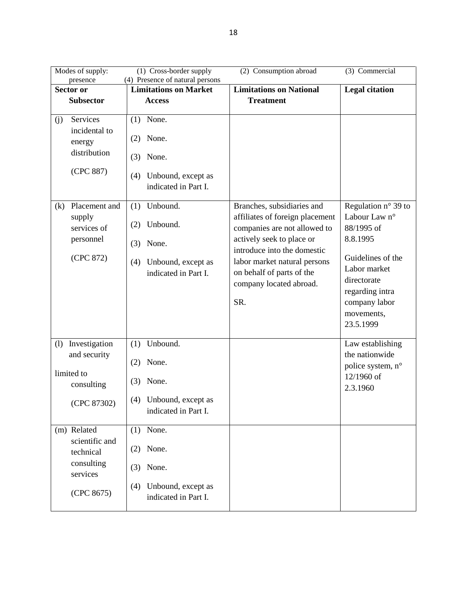| Modes of supply:                                                                   | (1) Cross-border supply                                                                                 | (2) Consumption abroad                                                                                                                                                                                                                                   | (3) Commercial                                                                                                                                                                             |
|------------------------------------------------------------------------------------|---------------------------------------------------------------------------------------------------------|----------------------------------------------------------------------------------------------------------------------------------------------------------------------------------------------------------------------------------------------------------|--------------------------------------------------------------------------------------------------------------------------------------------------------------------------------------------|
| presence                                                                           | (4) Presence of natural persons                                                                         |                                                                                                                                                                                                                                                          |                                                                                                                                                                                            |
| <b>Sector or</b>                                                                   | <b>Limitations on Market</b>                                                                            | <b>Limitations on National</b>                                                                                                                                                                                                                           | <b>Legal citation</b>                                                                                                                                                                      |
| <b>Subsector</b>                                                                   | <b>Access</b>                                                                                           | <b>Treatment</b>                                                                                                                                                                                                                                         |                                                                                                                                                                                            |
| Services<br>(j)<br>incidental to<br>energy<br>distribution<br>(CPC 887)            | $(1)$ None.<br>None.<br>(2)<br>None.<br>(3)<br>Unbound, except as<br>(4)<br>indicated in Part I.        |                                                                                                                                                                                                                                                          |                                                                                                                                                                                            |
| Placement and<br>(k)<br>supply<br>services of<br>personnel<br>(CPC 872)            | Unbound.<br>(1)<br>Unbound.<br>(2)<br>None.<br>(3)<br>Unbound, except as<br>(4)<br>indicated in Part I. | Branches, subsidiaries and<br>affiliates of foreign placement<br>companies are not allowed to<br>actively seek to place or<br>introduce into the domestic<br>labor market natural persons<br>on behalf of parts of the<br>company located abroad.<br>SR. | Regulation $n^{\circ}$ 39 to<br>Labour Law n°<br>88/1995 of<br>8.8.1995<br>Guidelines of the<br>Labor market<br>directorate<br>regarding intra<br>company labor<br>movements,<br>23.5.1999 |
| Investigation<br>(1)<br>and security<br>limited to<br>consulting<br>(CPC 87302)    | Unbound.<br>(1)<br>None.<br>(2)<br>None.<br>(3)<br>Unbound, except as<br>(4)<br>indicated in Part I.    |                                                                                                                                                                                                                                                          | Law establishing<br>the nationwide<br>police system, n°<br>12/1960 of<br>2.3.1960                                                                                                          |
| (m) Related<br>scientific and<br>technical<br>consulting<br>services<br>(CPC 8675) | None.<br>(1)<br>None.<br>(2)<br>None.<br>(3)<br>Unbound, except as<br>(4)<br>indicated in Part I.       |                                                                                                                                                                                                                                                          |                                                                                                                                                                                            |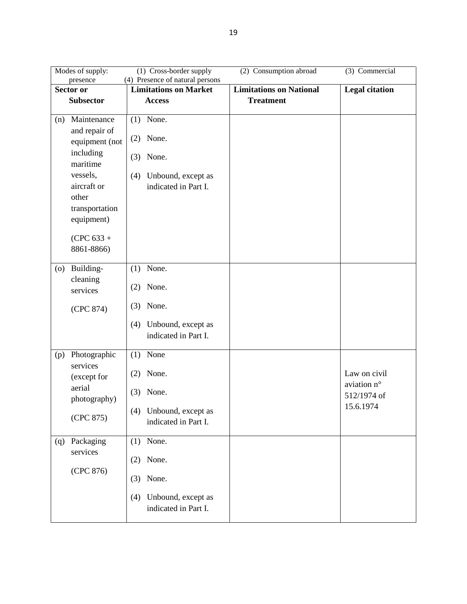| Modes of supply:                |                                 |     | (1) Cross-border supply                    | (2) Consumption abroad         | (3) Commercial              |
|---------------------------------|---------------------------------|-----|--------------------------------------------|--------------------------------|-----------------------------|
| presence                        |                                 |     | (4) Presence of natural persons            |                                |                             |
| Sector or                       |                                 |     | <b>Limitations on Market</b>               | <b>Limitations on National</b> | <b>Legal citation</b>       |
| <b>Subsector</b>                |                                 |     | <b>Access</b>                              | <b>Treatment</b>               |                             |
| (n)                             | Maintenance                     |     | $(1)$ None.                                |                                |                             |
|                                 | and repair of<br>equipment (not | (2) | None.                                      |                                |                             |
| including<br>maritime           |                                 | (3) | None.                                      |                                |                             |
| vessels,                        |                                 | (4) | Unbound, except as                         |                                |                             |
|                                 | aircraft or                     |     | indicated in Part I.                       |                                |                             |
| other                           |                                 |     |                                            |                                |                             |
|                                 | transportation                  |     |                                            |                                |                             |
|                                 | equipment)                      |     |                                            |                                |                             |
|                                 |                                 |     |                                            |                                |                             |
|                                 | $(CPC 633 +$                    |     |                                            |                                |                             |
|                                 | 8861-8866)                      |     |                                            |                                |                             |
| Building-<br>$\left( 0 \right)$ |                                 | (1) | None.                                      |                                |                             |
| cleaning<br>services            |                                 | (2) | None.                                      |                                |                             |
|                                 | (CPC 874)                       | (3) | None.                                      |                                |                             |
|                                 |                                 | (4) | Unbound, except as                         |                                |                             |
|                                 |                                 |     | indicated in Part I.                       |                                |                             |
|                                 |                                 |     |                                            |                                |                             |
| (p)<br>services                 | Photographic                    | (1) | None                                       |                                |                             |
|                                 | (except for                     | (2) | None.                                      |                                | Law on civil<br>aviation n° |
| aerial                          | photography)                    | (3) | None.                                      |                                | 512/1974 of                 |
|                                 | (CPC 875)                       |     | (4) Unbound, except as                     |                                | 15.6.1974                   |
|                                 |                                 |     | indicated in Part I.                       |                                |                             |
| (q)                             | Packaging                       |     | $(1)$ None.                                |                                |                             |
| services                        |                                 | (2) | None.                                      |                                |                             |
|                                 | (CPC 876)                       | (3) | None.                                      |                                |                             |
|                                 |                                 | (4) | Unbound, except as<br>indicated in Part I. |                                |                             |
|                                 |                                 |     |                                            |                                |                             |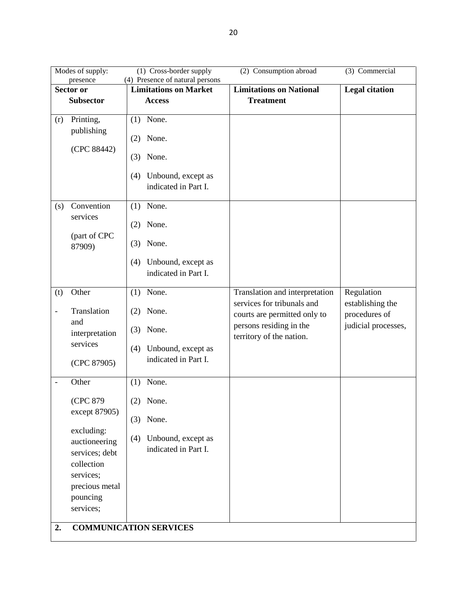| Modes of supply:                        | (1) Cross-border supply                           | (2) Consumption abroad                                       | (3) Commercial                    |
|-----------------------------------------|---------------------------------------------------|--------------------------------------------------------------|-----------------------------------|
| presence                                | (4) Presence of natural persons                   |                                                              |                                   |
| Sector or                               | <b>Limitations on Market</b>                      | <b>Limitations on National</b>                               | <b>Legal citation</b>             |
| <b>Subsector</b>                        | <b>Access</b>                                     | <b>Treatment</b>                                             |                                   |
| Printing,<br>(r)                        | None.<br>(1)                                      |                                                              |                                   |
| publishing                              | None.<br>(2)                                      |                                                              |                                   |
| (CPC 88442)                             | None.<br>(3)                                      |                                                              |                                   |
|                                         | Unbound, except as<br>(4)<br>indicated in Part I. |                                                              |                                   |
| Convention<br>(s)                       | $(1)$ None.                                       |                                                              |                                   |
| services                                | None.<br>(2)                                      |                                                              |                                   |
| (part of CPC<br>87909)                  | None.<br>(3)                                      |                                                              |                                   |
|                                         | Unbound, except as<br>(4)<br>indicated in Part I. |                                                              |                                   |
| Other<br>(t)                            | None.<br>(1)                                      | Translation and interpretation<br>services for tribunals and | Regulation                        |
| Translation<br>$\qquad \qquad -$<br>and | None.<br>(2)                                      | courts are permitted only to                                 | establishing the<br>procedures of |
| interpretation                          | None.<br>(3)                                      | persons residing in the<br>territory of the nation.          | judicial processes,               |
| services                                | Unbound, except as<br>(4)                         |                                                              |                                   |
| (CPC 87905)                             | indicated in Part I.                              |                                                              |                                   |
| Other<br>$\frac{1}{2}$                  | None.<br>(1)                                      |                                                              |                                   |
| (CPC 879<br>except 87905)               | None.<br>(2)                                      |                                                              |                                   |
|                                         | $(3)$ None.                                       |                                                              |                                   |
| excluding:<br>auctioneering             | Unbound, except as<br>(4)                         |                                                              |                                   |
| services; debt                          | indicated in Part I.                              |                                                              |                                   |
| collection                              |                                                   |                                                              |                                   |
| services;                               |                                                   |                                                              |                                   |
| precious metal                          |                                                   |                                                              |                                   |
| pouncing                                |                                                   |                                                              |                                   |
| services;                               |                                                   |                                                              |                                   |
| 2.                                      | <b>COMMUNICATION SERVICES</b>                     |                                                              |                                   |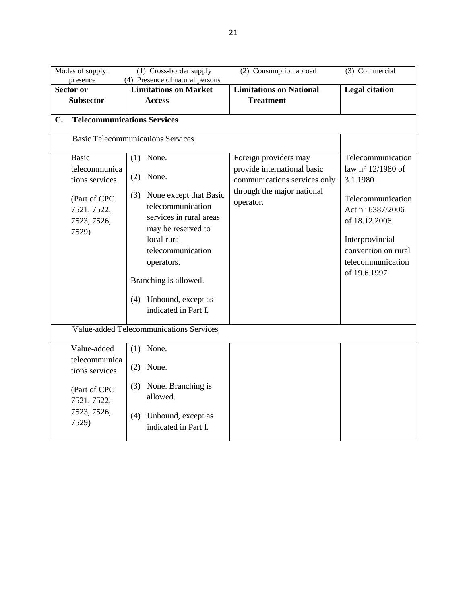| Modes of supply:<br>presence                                          | $(1)$ Cross-border supply<br>(4) Presence of natural persons                                                                                                                                                                  | (2) Consumption abroad                                                  | (3) Commercial                                                                                                                                    |
|-----------------------------------------------------------------------|-------------------------------------------------------------------------------------------------------------------------------------------------------------------------------------------------------------------------------|-------------------------------------------------------------------------|---------------------------------------------------------------------------------------------------------------------------------------------------|
| <b>Sector or</b>                                                      | <b>Limitations on Market</b>                                                                                                                                                                                                  | <b>Limitations on National</b>                                          | <b>Legal citation</b>                                                                                                                             |
| <b>Subsector</b>                                                      | <b>Access</b>                                                                                                                                                                                                                 | <b>Treatment</b>                                                        |                                                                                                                                                   |
| <b>Telecommunications Services</b><br>$C_{\bullet}$                   |                                                                                                                                                                                                                               |                                                                         |                                                                                                                                                   |
|                                                                       | <b>Basic Telecommunications Services</b>                                                                                                                                                                                      |                                                                         |                                                                                                                                                   |
| <b>Basic</b><br>telecommunica                                         | $(1)$ None.<br>$(2)$ None.                                                                                                                                                                                                    | Foreign providers may<br>provide international basic                    | Telecommunication<br>law n° 12/1980 of                                                                                                            |
| tions services<br>(Part of CPC<br>7521, 7522,<br>7523, 7526,<br>7529) | (3) None except that Basic<br>telecommunication<br>services in rural areas<br>may be reserved to<br>local rural<br>telecommunication<br>operators.<br>Branching is allowed.<br>(4) Unbound, except as<br>indicated in Part I. | communications services only<br>through the major national<br>operator. | 3.1.1980<br>Telecommunication<br>Act n° 6387/2006<br>of 18.12.2006<br>Interprovincial<br>convention on rural<br>telecommunication<br>of 19.6.1997 |
|                                                                       | Value-added Telecommunications Services                                                                                                                                                                                       |                                                                         |                                                                                                                                                   |
| Value-added<br>telecommunica<br>tions services                        | $(1)$ None.<br>$(2)$ None.                                                                                                                                                                                                    |                                                                         |                                                                                                                                                   |
| (Part of CPC<br>7521, 7522,<br>7523, 7526,                            | (3) None. Branching is<br>allowed.                                                                                                                                                                                            |                                                                         |                                                                                                                                                   |
| 7529)                                                                 | Unbound, except as<br>(4)<br>indicated in Part I.                                                                                                                                                                             |                                                                         |                                                                                                                                                   |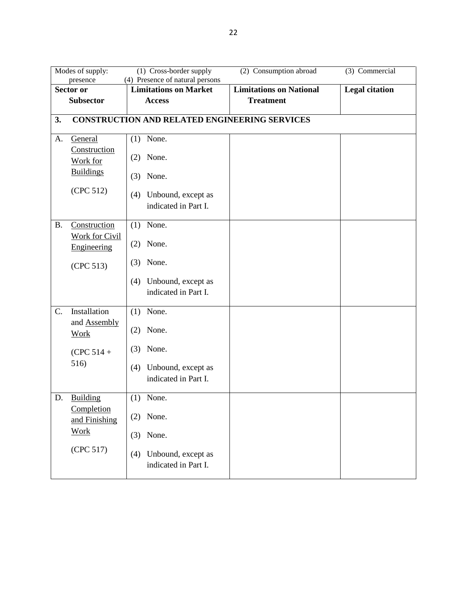|           | Modes of supply:<br>presence                         | (1) Cross-border supply<br>(4) Presence of natural persons | (2) Consumption abroad         | (3) Commercial        |
|-----------|------------------------------------------------------|------------------------------------------------------------|--------------------------------|-----------------------|
|           | <b>Sector or</b>                                     | <b>Limitations on Market</b>                               | <b>Limitations on National</b> | <b>Legal citation</b> |
|           | <b>Subsector</b>                                     | <b>Access</b>                                              | <b>Treatment</b>               |                       |
| 3.        |                                                      | <b>CONSTRUCTION AND RELATED ENGINEERING SERVICES</b>       |                                |                       |
| A.        | General<br>Construction                              | $(1)$ None.<br>None.                                       |                                |                       |
|           | Work for<br><b>Buildings</b>                         | (2)<br>None.<br>(3)                                        |                                |                       |
|           | (CPC 512)                                            | Unbound, except as<br>(4)<br>indicated in Part I.          |                                |                       |
| <b>B.</b> | Construction<br><b>Work for Civil</b><br>Engineering | None.<br>(1)<br>None.<br>(2)                               |                                |                       |
|           | (CPC 513)                                            | (3)<br>None.                                               |                                |                       |
|           |                                                      | Unbound, except as<br>(4)<br>indicated in Part I.          |                                |                       |
| C.        | Installation                                         | $(1)$ None.                                                |                                |                       |
|           | and <b>Assembly</b><br><b>Work</b>                   | None.<br>(2)                                               |                                |                       |
|           | $(CPC 514 +$                                         | None.<br>(3)                                               |                                |                       |
|           | 516)                                                 | Unbound, except as<br>(4)<br>indicated in Part I.          |                                |                       |
| D.        | Building                                             | None.<br>(1)                                               |                                |                       |
|           | Completion<br>and Finishing                          | $(2)$ None.                                                |                                |                       |
|           | <b>Work</b>                                          | $(3)$ None.                                                |                                |                       |
|           | (CPC 517)                                            | Unbound, except as<br>(4)<br>indicated in Part I.          |                                |                       |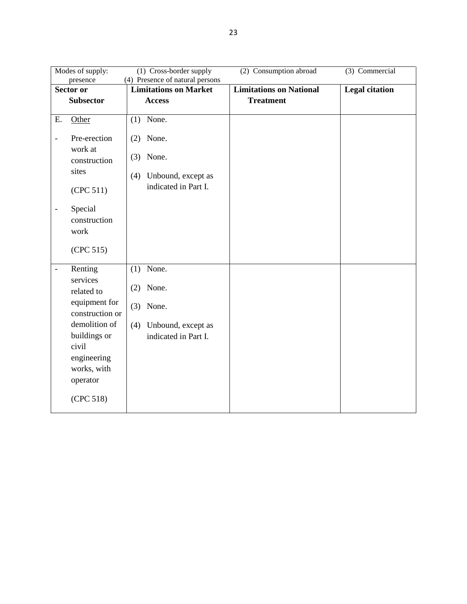|                          | Modes of supply:                 | (1) Cross-border supply                                         | (2) Consumption abroad         | (3) Commercial        |
|--------------------------|----------------------------------|-----------------------------------------------------------------|--------------------------------|-----------------------|
|                          | presence<br>Sector or            | (4) Presence of natural persons<br><b>Limitations on Market</b> | <b>Limitations on National</b> | <b>Legal citation</b> |
|                          | <b>Subsector</b>                 | <b>Access</b>                                                   | <b>Treatment</b>               |                       |
|                          |                                  |                                                                 |                                |                       |
| E.                       | Other                            | $(1)$ None.                                                     |                                |                       |
| $\overline{a}$           | Pre-erection<br>work at          | None.<br>(2)<br>None.                                           |                                |                       |
|                          | construction                     | (3)                                                             |                                |                       |
|                          | sites                            | Unbound, except as<br>(4)                                       |                                |                       |
|                          | (CPC 511)                        | indicated in Part I.                                            |                                |                       |
| $\overline{\phantom{0}}$ | Special<br>construction<br>work  |                                                                 |                                |                       |
|                          | (CPC 515)                        |                                                                 |                                |                       |
|                          | Renting                          | $(1)$ None.                                                     |                                |                       |
|                          | services<br>related to           | None.<br>(2)                                                    |                                |                       |
|                          | equipment for<br>construction or | (3)<br>None.                                                    |                                |                       |
|                          | demolition of                    | Unbound, except as<br>(4)                                       |                                |                       |
|                          | buildings or                     | indicated in Part I.                                            |                                |                       |
|                          | civil                            |                                                                 |                                |                       |
|                          | engineering<br>works, with       |                                                                 |                                |                       |
|                          | operator                         |                                                                 |                                |                       |
|                          | (CPC 518)                        |                                                                 |                                |                       |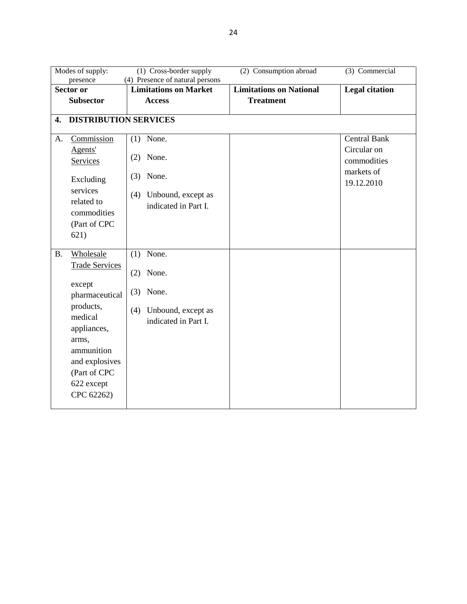|           | Modes of supply:                                                                                                                                                                                   | (1) Cross-border supply                                                                           | (2) Consumption abroad         | (3) Commercial                                                                |
|-----------|----------------------------------------------------------------------------------------------------------------------------------------------------------------------------------------------------|---------------------------------------------------------------------------------------------------|--------------------------------|-------------------------------------------------------------------------------|
|           | presence<br>Sector or                                                                                                                                                                              | (4) Presence of natural persons<br><b>Limitations on Market</b>                                   | <b>Limitations on National</b> | <b>Legal citation</b>                                                         |
|           | <b>Subsector</b>                                                                                                                                                                                   | <b>Access</b>                                                                                     | <b>Treatment</b>               |                                                                               |
| 4.        | <b>DISTRIBUTION SERVICES</b>                                                                                                                                                                       |                                                                                                   |                                |                                                                               |
| А.        | Commission<br>Agents'<br>Services<br>Excluding<br>services<br>related to<br>commodities<br>(Part of CPC                                                                                            | None.<br>(1)<br>None.<br>(2)<br>None.<br>(3)<br>Unbound, except as<br>(4)<br>indicated in Part I. |                                | <b>Central Bank</b><br>Circular on<br>commodities<br>markets of<br>19.12.2010 |
| <b>B.</b> | 621)<br>Wholesale<br><b>Trade Services</b><br>except<br>pharmaceutical<br>products,<br>medical<br>appliances,<br>arms,<br>ammunition<br>and explosives<br>(Part of CPC<br>622 except<br>CPC 62262) | $(1)$ None.<br>None.<br>(2)<br>None.<br>(3)<br>Unbound, except as<br>(4)<br>indicated in Part I.  |                                |                                                                               |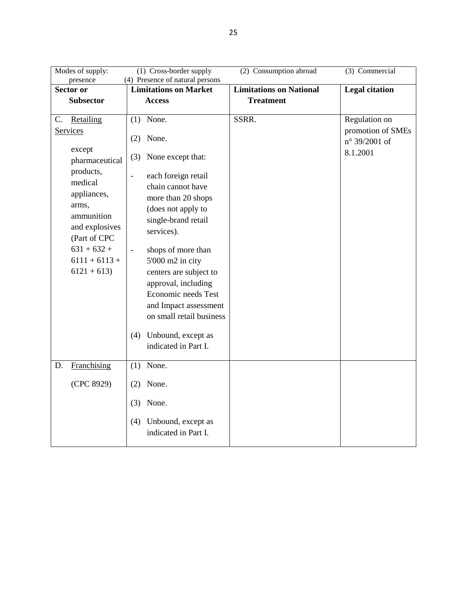| Modes of supply:<br>presence                                                                                                                                                                                | (1) Cross-border supply<br>(4) Presence of natural persons                                                                                                                                                                                                                                                                                                                                                                                                     | (2) Consumption abroad         | (3) Commercial                                                  |
|-------------------------------------------------------------------------------------------------------------------------------------------------------------------------------------------------------------|----------------------------------------------------------------------------------------------------------------------------------------------------------------------------------------------------------------------------------------------------------------------------------------------------------------------------------------------------------------------------------------------------------------------------------------------------------------|--------------------------------|-----------------------------------------------------------------|
| Sector or                                                                                                                                                                                                   | <b>Limitations on Market</b>                                                                                                                                                                                                                                                                                                                                                                                                                                   | <b>Limitations</b> on National | <b>Legal citation</b>                                           |
| <b>Subsector</b>                                                                                                                                                                                            | <b>Access</b>                                                                                                                                                                                                                                                                                                                                                                                                                                                  | <b>Treatment</b>               |                                                                 |
| C.<br>Retailing<br>Services<br>except<br>pharmaceutical<br>products,<br>medical<br>appliances,<br>arms,<br>ammunition<br>and explosives<br>(Part of CPC<br>$631 + 632 +$<br>$6111 + 6113 +$<br>$6121 + 613$ | $(1)$ None.<br>None.<br>(2)<br>None except that:<br>(3)<br>each foreign retail<br>$\overline{a}$<br>chain cannot have<br>more than 20 shops<br>(does not apply to<br>single-brand retail<br>services).<br>shops of more than<br>$\overline{\phantom{a}}$<br>5'000 m2 in city<br>centers are subject to<br>approval, including<br>Economic needs Test<br>and Impact assessment<br>on small retail business<br>Unbound, except as<br>(4)<br>indicated in Part I. | SSRR.                          | Regulation on<br>promotion of SMEs<br>n° 39/2001 of<br>8.1.2001 |
| Franchising<br>D.                                                                                                                                                                                           | None.<br>(1)                                                                                                                                                                                                                                                                                                                                                                                                                                                   |                                |                                                                 |
| (CPC 8929)                                                                                                                                                                                                  | None.<br>(2)                                                                                                                                                                                                                                                                                                                                                                                                                                                   |                                |                                                                 |
|                                                                                                                                                                                                             | None.<br>(3)                                                                                                                                                                                                                                                                                                                                                                                                                                                   |                                |                                                                 |
|                                                                                                                                                                                                             | Unbound, except as<br>(4)<br>indicated in Part I.                                                                                                                                                                                                                                                                                                                                                                                                              |                                |                                                                 |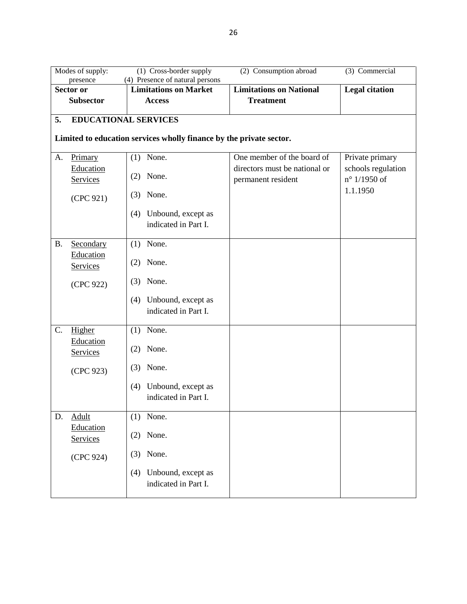|           | Modes of supply:<br>presence                                        | (1) Cross-border supply<br>(4) Presence of natural persons | (2) Consumption abroad                              | $(3)$ Commercial                   |  |  |
|-----------|---------------------------------------------------------------------|------------------------------------------------------------|-----------------------------------------------------|------------------------------------|--|--|
|           | Sector or                                                           | <b>Limitations on Market</b>                               | <b>Limitations on National</b>                      | <b>Legal citation</b>              |  |  |
|           | <b>Subsector</b>                                                    | <b>Access</b>                                              | <b>Treatment</b>                                    |                                    |  |  |
|           |                                                                     |                                                            |                                                     |                                    |  |  |
| 5.        | <b>EDUCATIONAL SERVICES</b>                                         |                                                            |                                                     |                                    |  |  |
|           | Limited to education services wholly finance by the private sector. |                                                            |                                                     |                                    |  |  |
| A.        | Primary                                                             | $(1)$ None.                                                | One member of the board of                          | Private primary                    |  |  |
|           | Education<br>Services                                               | None.<br>(2)                                               | directors must be national or<br>permanent resident | schools regulation<br>n° 1/1950 of |  |  |
|           | (CPC 921)                                                           | None.<br>(3)                                               |                                                     | 1.1.1950                           |  |  |
|           |                                                                     | (4) Unbound, except as<br>indicated in Part I.             |                                                     |                                    |  |  |
| <b>B.</b> | Secondary                                                           | $(1)$ None.                                                |                                                     |                                    |  |  |
|           | Education<br>Services                                               | $(2)$ None.                                                |                                                     |                                    |  |  |
|           | (CPC 922)                                                           | $(3)$ None.                                                |                                                     |                                    |  |  |
|           |                                                                     | Unbound, except as<br>(4)<br>indicated in Part I.          |                                                     |                                    |  |  |
| C.        | Higher                                                              | $(1)$ None.                                                |                                                     |                                    |  |  |
|           | Education<br>Services                                               | None.<br>(2)                                               |                                                     |                                    |  |  |
|           | (CPC 923)                                                           | $(3)$ None.                                                |                                                     |                                    |  |  |
|           |                                                                     | (4) Unbound, except as<br>indicated in Part I.             |                                                     |                                    |  |  |
| D.        | <b>Adult</b>                                                        | None.<br>(1)                                               |                                                     |                                    |  |  |
|           | Education<br>Services                                               | None.<br>(2)                                               |                                                     |                                    |  |  |
|           | (CPC 924)                                                           | $(3)$ None.                                                |                                                     |                                    |  |  |
|           |                                                                     | Unbound, except as<br>(4)<br>indicated in Part I.          |                                                     |                                    |  |  |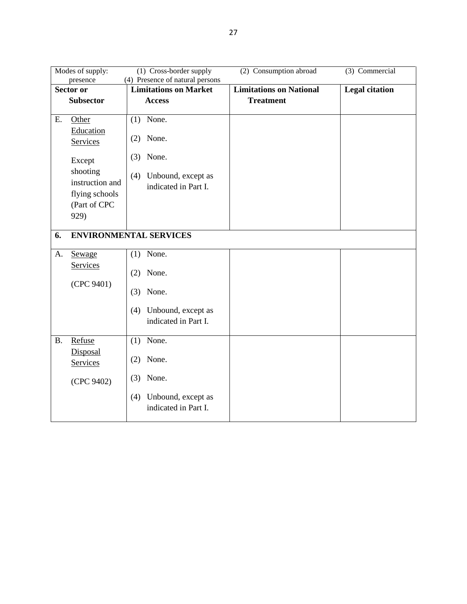|           | Modes of supply:                                                      | (1) Cross-border supply                                         | (2) Consumption abroad         | (3) Commercial        |
|-----------|-----------------------------------------------------------------------|-----------------------------------------------------------------|--------------------------------|-----------------------|
|           | presence<br>Sector or                                                 | (4) Presence of natural persons<br><b>Limitations on Market</b> | <b>Limitations on National</b> | <b>Legal citation</b> |
|           | <b>Subsector</b>                                                      | <b>Access</b>                                                   | <b>Treatment</b>               |                       |
| Ε.        | Other                                                                 | $(1)$ None.                                                     |                                |                       |
|           | Education<br>Services                                                 | None.<br>(2)                                                    |                                |                       |
|           | Except                                                                | (3)<br>None.                                                    |                                |                       |
|           | shooting<br>instruction and<br>flying schools<br>(Part of CPC<br>929) | (4)<br>Unbound, except as<br>indicated in Part I.               |                                |                       |
| 6.        |                                                                       | <b>ENVIRONMENTAL SERVICES</b>                                   |                                |                       |
|           |                                                                       |                                                                 |                                |                       |
| А.        | Sewage                                                                | $(1)$ None.                                                     |                                |                       |
|           | Services                                                              | None.<br>(2)                                                    |                                |                       |
|           | (CPC 9401)                                                            | None.<br>(3)                                                    |                                |                       |
|           |                                                                       | (4)<br>Unbound, except as<br>indicated in Part I.               |                                |                       |
| <b>B.</b> | Refuse                                                                | $(1)$ None.                                                     |                                |                       |
|           | Disposal<br>Services                                                  | None.<br>(2)                                                    |                                |                       |
|           | (CPC 9402)                                                            | None.<br>(3)                                                    |                                |                       |
|           |                                                                       | Unbound, except as<br>(4)<br>indicated in Part I.               |                                |                       |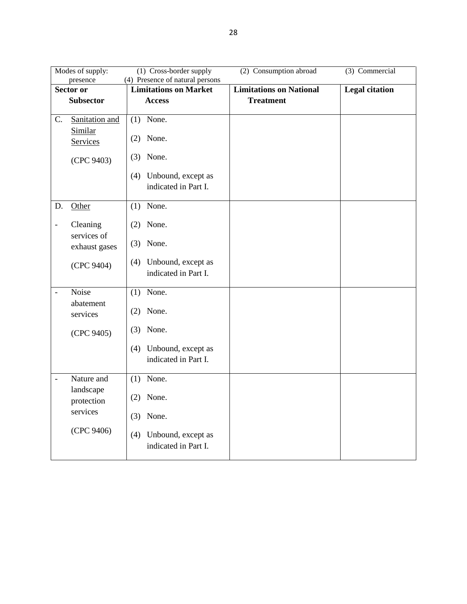|                              | Modes of supply:<br>presence | $(1)$ Cross-border supply<br>(4) Presence of natural persons | (2) Consumption abroad         | (3) Commercial        |
|------------------------------|------------------------------|--------------------------------------------------------------|--------------------------------|-----------------------|
|                              | <b>Sector or</b>             | <b>Limitations on Market</b>                                 | <b>Limitations on National</b> | <b>Legal citation</b> |
|                              | <b>Subsector</b>             | <b>Access</b>                                                | <b>Treatment</b>               |                       |
|                              |                              |                                                              |                                |                       |
| C.                           | Sanitation and               | $(1)$ None.                                                  |                                |                       |
|                              | Similar<br>Services          | $(2)$ None.                                                  |                                |                       |
|                              | (CPC 9403)                   | None.<br>(3)                                                 |                                |                       |
|                              |                              | (4) Unbound, except as<br>indicated in Part I.               |                                |                       |
| D.                           | Other                        | $(1)$ None.                                                  |                                |                       |
| $\qquad \qquad \blacksquare$ | Cleaning                     | $(2)$ None.                                                  |                                |                       |
|                              | services of<br>exhaust gases | $(3)$ None.                                                  |                                |                       |
|                              | (CPC 9404)                   | (4)<br>Unbound, except as<br>indicated in Part I.            |                                |                       |
| $\overline{\phantom{0}}$     | Noise                        | $(1)$ None.                                                  |                                |                       |
|                              | abatement<br>services        | $(2)$ None.                                                  |                                |                       |
|                              | (CPC 9405)                   | $(3)$ None.                                                  |                                |                       |
|                              |                              | Unbound, except as<br>(4)<br>indicated in Part I.            |                                |                       |
| $\frac{1}{2}$                | Nature and                   | $(1)$ None.                                                  |                                |                       |
|                              | landscape<br>protection      | $(2)$ None.                                                  |                                |                       |
|                              | services                     | $(3)$ None.                                                  |                                |                       |
|                              | (CPC 9406)                   | Unbound, except as<br>(4)<br>indicated in Part I.            |                                |                       |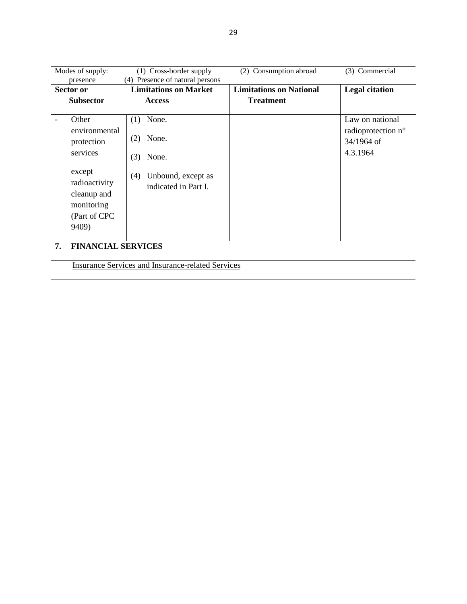| Modes of supply:                                                                                                         | (1) Cross-border supply                                                                           | (2) Consumption abroad         | (3) Commercial                                                  |  |
|--------------------------------------------------------------------------------------------------------------------------|---------------------------------------------------------------------------------------------------|--------------------------------|-----------------------------------------------------------------|--|
| presence                                                                                                                 | (4) Presence of natural persons                                                                   |                                |                                                                 |  |
| Sector or                                                                                                                | <b>Limitations on Market</b>                                                                      | <b>Limitations on National</b> | <b>Legal citation</b>                                           |  |
| <b>Subsector</b>                                                                                                         | <b>Access</b>                                                                                     | <b>Treatment</b>               |                                                                 |  |
| Other<br>environmental<br>protection<br>services<br>except<br>radioactivity<br>cleanup and<br>monitoring<br>(Part of CPC | None.<br>(1)<br>None.<br>(2)<br>(3)<br>None.<br>Unbound, except as<br>(4)<br>indicated in Part I. |                                | Law on national<br>radioprotection n°<br>34/1964 of<br>4.3.1964 |  |
| 9409)                                                                                                                    |                                                                                                   |                                |                                                                 |  |
| <b>FINANCIAL SERVICES</b><br>7.                                                                                          |                                                                                                   |                                |                                                                 |  |
| <b>Insurance Services and Insurance-related Services</b>                                                                 |                                                                                                   |                                |                                                                 |  |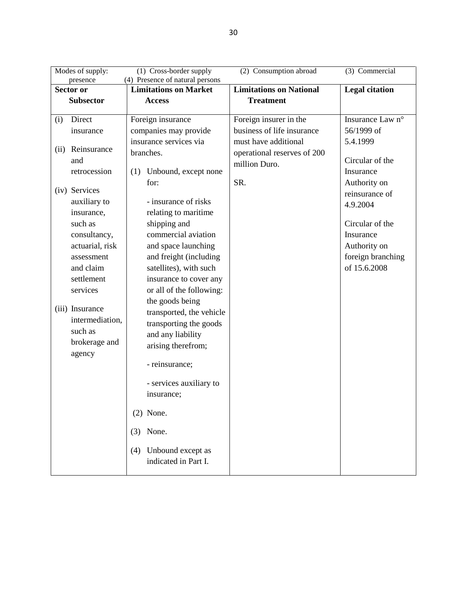|      | Modes of supply:<br>(1) Cross-border supply<br>(2) Consumption abroad<br>(3) Commercial |                                                                 |                                |                       |  |
|------|-----------------------------------------------------------------------------------------|-----------------------------------------------------------------|--------------------------------|-----------------------|--|
|      | presence<br>Sector or                                                                   | (4) Presence of natural persons<br><b>Limitations on Market</b> | <b>Limitations on National</b> | <b>Legal citation</b> |  |
|      | <b>Subsector</b>                                                                        | <b>Access</b>                                                   | <b>Treatment</b>               |                       |  |
|      |                                                                                         |                                                                 |                                |                       |  |
| (i)  | Direct                                                                                  | Foreign insurance                                               | Foreign insurer in the         | Insurance Law n°      |  |
|      | insurance                                                                               | companies may provide                                           | business of life insurance     | 56/1999 of            |  |
|      |                                                                                         | insurance services via                                          | must have additional           | 5.4.1999              |  |
| (ii) | Reinsurance                                                                             | branches.                                                       | operational reserves of 200    |                       |  |
|      | and                                                                                     |                                                                 | million Duro.                  | Circular of the       |  |
|      | retrocession                                                                            | Unbound, except none<br>(1)                                     |                                | Insurance             |  |
|      | (iv) Services                                                                           | for:                                                            | SR.                            | Authority on          |  |
|      | auxiliary to                                                                            | - insurance of risks                                            |                                | reinsurance of        |  |
|      | insurance,                                                                              | relating to maritime                                            |                                | 4.9.2004              |  |
|      | such as                                                                                 | shipping and                                                    |                                | Circular of the       |  |
|      | consultancy,                                                                            | commercial aviation                                             |                                | Insurance             |  |
|      | actuarial, risk                                                                         | and space launching                                             |                                | Authority on          |  |
|      | assessment                                                                              | and freight (including                                          |                                | foreign branching     |  |
|      | and claim                                                                               | satellites), with such                                          |                                | of 15.6.2008          |  |
|      | settlement                                                                              | insurance to cover any                                          |                                |                       |  |
|      | services                                                                                | or all of the following:                                        |                                |                       |  |
|      |                                                                                         | the goods being                                                 |                                |                       |  |
|      | (iii) Insurance                                                                         | transported, the vehicle                                        |                                |                       |  |
|      | intermediation,                                                                         | transporting the goods                                          |                                |                       |  |
|      | such as                                                                                 | and any liability                                               |                                |                       |  |
|      | brokerage and                                                                           | arising therefrom;                                              |                                |                       |  |
|      | agency                                                                                  |                                                                 |                                |                       |  |
|      |                                                                                         | - reinsurance;                                                  |                                |                       |  |
|      |                                                                                         | - services auxiliary to                                         |                                |                       |  |
|      |                                                                                         | insurance;                                                      |                                |                       |  |
|      |                                                                                         |                                                                 |                                |                       |  |
|      |                                                                                         | $(2)$ None.                                                     |                                |                       |  |
|      |                                                                                         | None.<br>(3)                                                    |                                |                       |  |
|      |                                                                                         | Unbound except as<br>(4)                                        |                                |                       |  |
|      |                                                                                         | indicated in Part I.                                            |                                |                       |  |
|      |                                                                                         |                                                                 |                                |                       |  |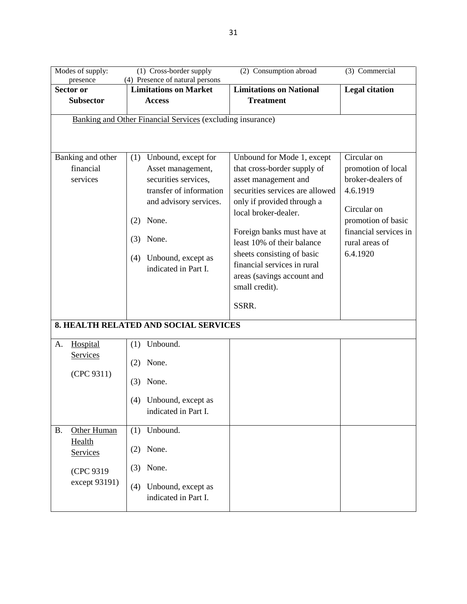|           | Modes of supply:                                           | (1) Cross-border supply                                         |                                            | (2) Consumption abroad                                        | (3) Commercial                          |
|-----------|------------------------------------------------------------|-----------------------------------------------------------------|--------------------------------------------|---------------------------------------------------------------|-----------------------------------------|
|           | presence<br><b>Sector or</b>                               | (4) Presence of natural persons<br><b>Limitations on Market</b> |                                            | <b>Limitations on National</b>                                | <b>Legal citation</b>                   |
|           | <b>Subsector</b>                                           | <b>Access</b>                                                   |                                            | <b>Treatment</b>                                              |                                         |
|           |                                                            |                                                                 |                                            |                                                               |                                         |
|           | Banking and Other Financial Services (excluding insurance) |                                                                 |                                            |                                                               |                                         |
|           | Banking and other                                          | (1)                                                             | Unbound, except for                        | Unbound for Mode 1, except                                    | Circular on                             |
|           | financial                                                  |                                                                 | Asset management,                          | that cross-border supply of                                   | promotion of local                      |
|           | services                                                   |                                                                 | securities services,                       | asset management and                                          | broker-dealers of                       |
|           |                                                            |                                                                 | transfer of information                    | securities services are allowed<br>only if provided through a | 4.6.1919                                |
|           |                                                            |                                                                 | and advisory services.                     | local broker-dealer.                                          | Circular on                             |
|           |                                                            | None.<br>(2)                                                    |                                            |                                                               | promotion of basic                      |
|           |                                                            | None.<br>(3)                                                    |                                            | Foreign banks must have at<br>least 10% of their balance      | financial services in<br>rural areas of |
|           |                                                            | (4)                                                             | Unbound, except as                         | sheets consisting of basic                                    | 6.4.1920                                |
|           |                                                            |                                                                 | indicated in Part I.                       | financial services in rural                                   |                                         |
|           |                                                            |                                                                 |                                            | areas (savings account and                                    |                                         |
|           |                                                            |                                                                 |                                            | small credit).                                                |                                         |
|           |                                                            |                                                                 |                                            | SSRR.                                                         |                                         |
|           | <b>8. HEALTH RELATED AND SOCIAL SERVICES</b>               |                                                                 |                                            |                                                               |                                         |
| A.        | Hospital                                                   | Unbound.<br>(1)                                                 |                                            |                                                               |                                         |
|           | <b>Services</b><br>(CPC 9311)                              | None.<br>(2)                                                    |                                            |                                                               |                                         |
|           |                                                            | None.<br>(3)                                                    |                                            |                                                               |                                         |
|           |                                                            | (4)                                                             | Unbound, except as                         |                                                               |                                         |
|           |                                                            |                                                                 | indicated in Part I.                       |                                                               |                                         |
| <b>B.</b> | Other Human                                                | Unbound.<br>(1)                                                 |                                            |                                                               |                                         |
|           | Health<br>Services                                         | None.<br>(2)                                                    |                                            |                                                               |                                         |
|           | (CPC 9319                                                  | None.<br>(3)                                                    |                                            |                                                               |                                         |
|           | except 93191)                                              | (4)                                                             | Unbound, except as<br>indicated in Part I. |                                                               |                                         |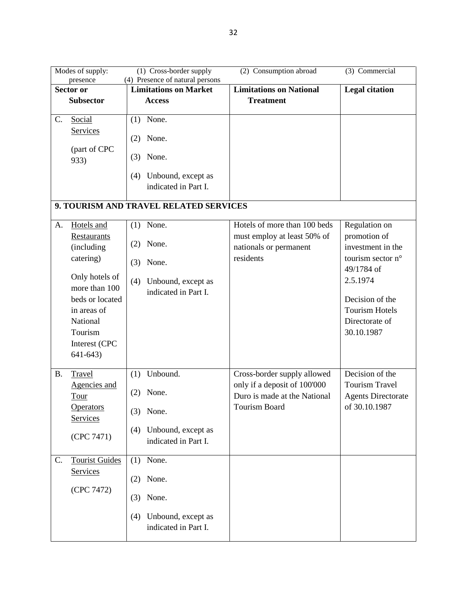| Modes of supply:                                                                                                                                                                     | (1) Cross-border supply                                                                              | (2) Consumption abroad                                                                                       | (3) Commercial                                                                                                                                                                |
|--------------------------------------------------------------------------------------------------------------------------------------------------------------------------------------|------------------------------------------------------------------------------------------------------|--------------------------------------------------------------------------------------------------------------|-------------------------------------------------------------------------------------------------------------------------------------------------------------------------------|
| presence<br>Sector or                                                                                                                                                                | (4) Presence of natural persons<br><b>Limitations on Market</b>                                      | <b>Limitations on National</b>                                                                               | <b>Legal citation</b>                                                                                                                                                         |
| <b>Subsector</b>                                                                                                                                                                     | <b>Access</b>                                                                                        | <b>Treatment</b>                                                                                             |                                                                                                                                                                               |
|                                                                                                                                                                                      |                                                                                                      |                                                                                                              |                                                                                                                                                                               |
| C.<br>Social                                                                                                                                                                         | None.<br>(1)                                                                                         |                                                                                                              |                                                                                                                                                                               |
| Services                                                                                                                                                                             | None.<br>(2)                                                                                         |                                                                                                              |                                                                                                                                                                               |
| (part of CPC<br>933)                                                                                                                                                                 | None.<br>(3)                                                                                         |                                                                                                              |                                                                                                                                                                               |
|                                                                                                                                                                                      | Unbound, except as<br>(4)<br>indicated in Part I.                                                    |                                                                                                              |                                                                                                                                                                               |
|                                                                                                                                                                                      | 9. TOURISM AND TRAVEL RELATED SERVICES                                                               |                                                                                                              |                                                                                                                                                                               |
| Hotels and<br>A.<br>Restaurants<br>(including<br>catering)<br>Only hotels of<br>more than 100<br>beds or located<br>in areas of<br>National<br>Tourism<br>Interest (CPC<br>$641-643$ | $(1)$ None.<br>None.<br>(2)<br>None.<br>(3)<br>Unbound, except as<br>(4)<br>indicated in Part I.     | Hotels of more than 100 beds<br>must employ at least 50% of<br>nationals or permanent<br>residents           | Regulation on<br>promotion of<br>investment in the<br>tourism sector n°<br>49/1784 of<br>2.5.1974<br>Decision of the<br><b>Tourism Hotels</b><br>Directorate of<br>30.10.1987 |
| <b>B.</b><br>Travel<br>Agencies and<br>Tour<br><b>Operators</b><br>Services<br>(CPC 7471)                                                                                            | Unbound.<br>(1)<br>None.<br>(2)<br>None.<br>(3)<br>Unbound, except as<br>(4)<br>indicated in Part I. | Cross-border supply allowed<br>only if a deposit of 100'000<br>Duro is made at the National<br>Tourism Board | Decision of the<br><b>Tourism Travel</b><br><b>Agents Directorate</b><br>of 30.10.1987                                                                                        |
| <b>Tourist Guides</b><br>$C_{\cdot}$<br>Services<br>(CPC 7472)                                                                                                                       | $(1)$ None.<br>$(2)$ None.<br>None.<br>(3)<br>Unbound, except as<br>(4)<br>indicated in Part I.      |                                                                                                              |                                                                                                                                                                               |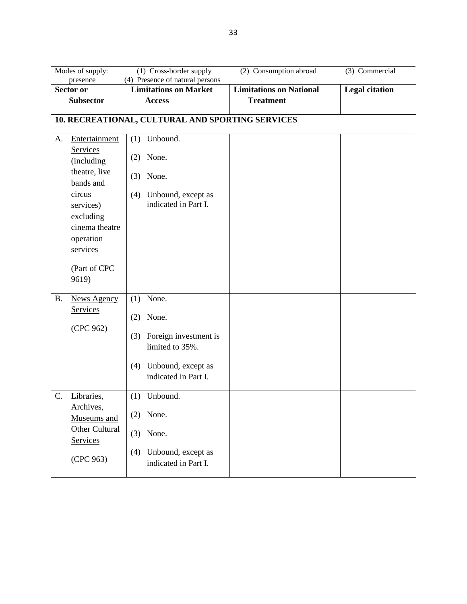|           | Modes of supply:<br>presence                                                                                                                         | (1) Cross-border supply<br>(4) Presence of natural persons                                                                                               | (2) Consumption abroad         | (3) Commercial        |
|-----------|------------------------------------------------------------------------------------------------------------------------------------------------------|----------------------------------------------------------------------------------------------------------------------------------------------------------|--------------------------------|-----------------------|
|           | Sector or                                                                                                                                            | <b>Limitations on Market</b>                                                                                                                             | <b>Limitations on National</b> | <b>Legal citation</b> |
|           | <b>Subsector</b>                                                                                                                                     | <b>Access</b>                                                                                                                                            | <b>Treatment</b>               |                       |
| A.        | Entertainment<br>Services<br>(including<br>theatre, live<br>bands and<br>circus<br>services)<br>excluding<br>cinema theatre<br>operation<br>services | 10. RECREATIONAL, CULTURAL AND SPORTING SERVICES<br>Unbound.<br>(1)<br>None.<br>(2)<br>None.<br>(3)<br>Unbound, except as<br>(4)<br>indicated in Part I. |                                |                       |
| <b>B.</b> | (Part of CPC<br>9619)<br><b>News Agency</b>                                                                                                          | None.<br>(1)                                                                                                                                             |                                |                       |
|           | Services<br>(CPC 962)                                                                                                                                | None.<br>(2)<br>Foreign investment is<br>(3)<br>limited to 35%.<br>Unbound, except as<br>(4)<br>indicated in Part I.                                     |                                |                       |
| C.        | Libraries,<br>Archives,<br>Museums and<br>Other Cultural<br>Services<br>(CPC 963)                                                                    | Unbound.<br>(1)<br>$(2)$ None.<br>$(3)$ None.<br>Unbound, except as<br>(4)<br>indicated in Part I.                                                       |                                |                       |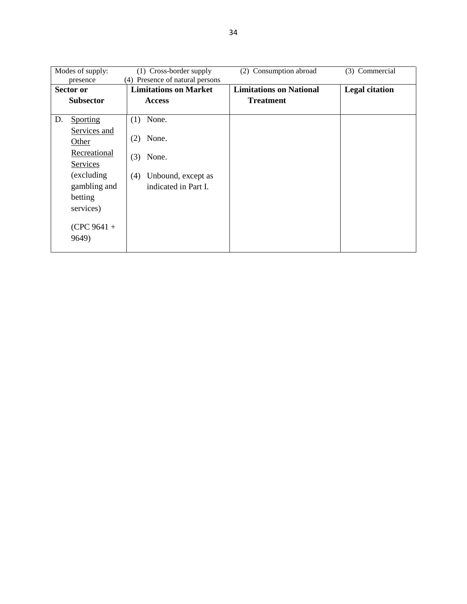| Modes of supply: |                  | (1) Cross-border supply         | (2) Consumption abroad         | (3) Commercial        |
|------------------|------------------|---------------------------------|--------------------------------|-----------------------|
|                  | presence         | (4) Presence of natural persons |                                |                       |
|                  | Sector or        | <b>Limitations on Market</b>    | <b>Limitations on National</b> | <b>Legal citation</b> |
|                  | <b>Subsector</b> | <b>Access</b>                   | <b>Treatment</b>               |                       |
|                  |                  |                                 |                                |                       |
| D.               | <b>Sporting</b>  | $(1)$ None.                     |                                |                       |
|                  | Services and     |                                 |                                |                       |
|                  | Other            | None.<br>(2)                    |                                |                       |
|                  | Recreational     | None.<br>(3)                    |                                |                       |
|                  | Services         |                                 |                                |                       |
|                  | (excluding)      | Unbound, except as<br>(4)       |                                |                       |
|                  | gambling and     | indicated in Part I.            |                                |                       |
|                  | betting          |                                 |                                |                       |
|                  | services)        |                                 |                                |                       |
|                  |                  |                                 |                                |                       |
|                  | $(CPC 9641 +$    |                                 |                                |                       |
|                  | 9649)            |                                 |                                |                       |
|                  |                  |                                 |                                |                       |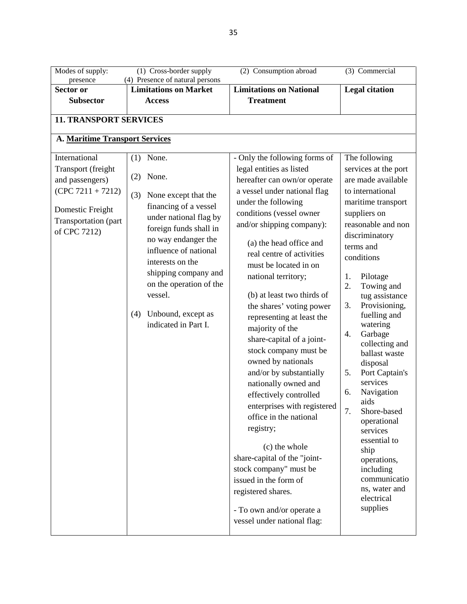| Modes of supply:                    | (1) Cross-border supply                                                                                                                                                                                       | (2) Consumption abroad                                                                                                                                                                                                                                                                                                                                                                                                                                                                                                                                                                                                              | (3) Commercial                                                                                                                                                                                                                                                                                                                                                                                                                                      |
|-------------------------------------|---------------------------------------------------------------------------------------------------------------------------------------------------------------------------------------------------------------|-------------------------------------------------------------------------------------------------------------------------------------------------------------------------------------------------------------------------------------------------------------------------------------------------------------------------------------------------------------------------------------------------------------------------------------------------------------------------------------------------------------------------------------------------------------------------------------------------------------------------------------|-----------------------------------------------------------------------------------------------------------------------------------------------------------------------------------------------------------------------------------------------------------------------------------------------------------------------------------------------------------------------------------------------------------------------------------------------------|
| presence<br>Sector or               | (4) Presence of natural persons<br><b>Limitations on Market</b>                                                                                                                                               | <b>Limitations on National</b>                                                                                                                                                                                                                                                                                                                                                                                                                                                                                                                                                                                                      | <b>Legal citation</b>                                                                                                                                                                                                                                                                                                                                                                                                                               |
| <b>Subsector</b>                    | <b>Access</b>                                                                                                                                                                                                 | <b>Treatment</b>                                                                                                                                                                                                                                                                                                                                                                                                                                                                                                                                                                                                                    |                                                                                                                                                                                                                                                                                                                                                                                                                                                     |
|                                     |                                                                                                                                                                                                               |                                                                                                                                                                                                                                                                                                                                                                                                                                                                                                                                                                                                                                     |                                                                                                                                                                                                                                                                                                                                                                                                                                                     |
| <b>11. TRANSPORT SERVICES</b>       |                                                                                                                                                                                                               |                                                                                                                                                                                                                                                                                                                                                                                                                                                                                                                                                                                                                                     |                                                                                                                                                                                                                                                                                                                                                                                                                                                     |
| A. Maritime Transport Services      |                                                                                                                                                                                                               |                                                                                                                                                                                                                                                                                                                                                                                                                                                                                                                                                                                                                                     |                                                                                                                                                                                                                                                                                                                                                                                                                                                     |
| International<br>Transport (freight | None.<br>(1)                                                                                                                                                                                                  | - Only the following forms of<br>legal entities as listed                                                                                                                                                                                                                                                                                                                                                                                                                                                                                                                                                                           | The following<br>services at the port                                                                                                                                                                                                                                                                                                                                                                                                               |
| and passengers)                     | None.<br>(2)                                                                                                                                                                                                  | hereafter can own/or operate                                                                                                                                                                                                                                                                                                                                                                                                                                                                                                                                                                                                        | are made available                                                                                                                                                                                                                                                                                                                                                                                                                                  |
| $(CPC 7211 + 7212)$                 |                                                                                                                                                                                                               | a vessel under national flag                                                                                                                                                                                                                                                                                                                                                                                                                                                                                                                                                                                                        | to international                                                                                                                                                                                                                                                                                                                                                                                                                                    |
|                                     | None except that the<br>(3)                                                                                                                                                                                   | under the following                                                                                                                                                                                                                                                                                                                                                                                                                                                                                                                                                                                                                 | maritime transport                                                                                                                                                                                                                                                                                                                                                                                                                                  |
| Domestic Freight                    | financing of a vessel<br>under national flag by                                                                                                                                                               | conditions (vessel owner                                                                                                                                                                                                                                                                                                                                                                                                                                                                                                                                                                                                            | suppliers on                                                                                                                                                                                                                                                                                                                                                                                                                                        |
| Transportation (part                |                                                                                                                                                                                                               | and/or shipping company):                                                                                                                                                                                                                                                                                                                                                                                                                                                                                                                                                                                                           | reasonable and non                                                                                                                                                                                                                                                                                                                                                                                                                                  |
| of CPC 7212)                        | foreign funds shall in<br>no way endanger the<br>influence of national<br>interests on the<br>shipping company and<br>on the operation of the<br>vessel.<br>Unbound, except as<br>(4)<br>indicated in Part I. | (a) the head office and<br>real centre of activities<br>must be located in on<br>national territory;<br>(b) at least two thirds of<br>the shares' voting power<br>representing at least the<br>majority of the<br>share-capital of a joint-<br>stock company must be<br>owned by nationals<br>and/or by substantially<br>nationally owned and<br>effectively controlled<br>enterprises with registered<br>office in the national<br>registry;<br>(c) the whole<br>share-capital of the "joint-<br>stock company" must be<br>issued in the form of<br>registered shares.<br>- To own and/or operate a<br>vessel under national flag: | discriminatory<br>terms and<br>conditions<br>1.<br>Pilotage<br>2.<br>Towing and<br>tug assistance<br>3.<br>Provisioning,<br>fuelling and<br>watering<br>4.<br>Garbage<br>collecting and<br>ballast waste<br>disposal<br>5.<br>Port Captain's<br>services<br>Navigation<br>6.<br>aids<br>7.<br>Shore-based<br>operational<br>services<br>essential to<br>ship<br>operations,<br>including<br>communicatio<br>ns, water and<br>electrical<br>supplies |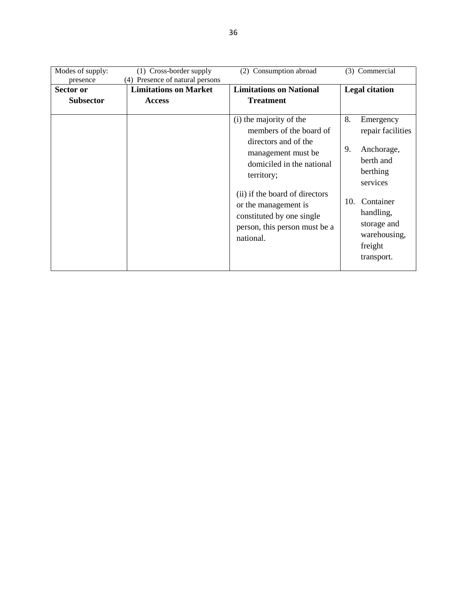| Modes of supply: | (1) Cross-border supply         | (2) Consumption abroad         | (3) Commercial        |
|------------------|---------------------------------|--------------------------------|-----------------------|
| presence         | (4) Presence of natural persons |                                |                       |
| Sector or        | <b>Limitations on Market</b>    | <b>Limitations on National</b> | <b>Legal citation</b> |
| <b>Subsector</b> | <b>Access</b>                   | <b>Treatment</b>               |                       |
|                  |                                 |                                |                       |
|                  |                                 | (i) the majority of the        | 8.<br>Emergency       |
|                  |                                 | members of the board of        | repair facilities     |
|                  |                                 | directors and of the           |                       |
|                  |                                 | management must be             | 9.<br>Anchorage,      |
|                  |                                 | domiciled in the national      | berth and             |
|                  |                                 | territory;                     | berthing              |
|                  |                                 |                                | services              |
|                  |                                 | (ii) if the board of directors |                       |
|                  |                                 | or the management is           | Container<br>10.      |
|                  |                                 | constituted by one single      | handling,             |
|                  |                                 |                                | storage and           |
|                  |                                 | person, this person must be a  | warehousing,          |
|                  |                                 | national.                      |                       |
|                  |                                 |                                | freight               |
|                  |                                 |                                | transport.            |
|                  |                                 |                                |                       |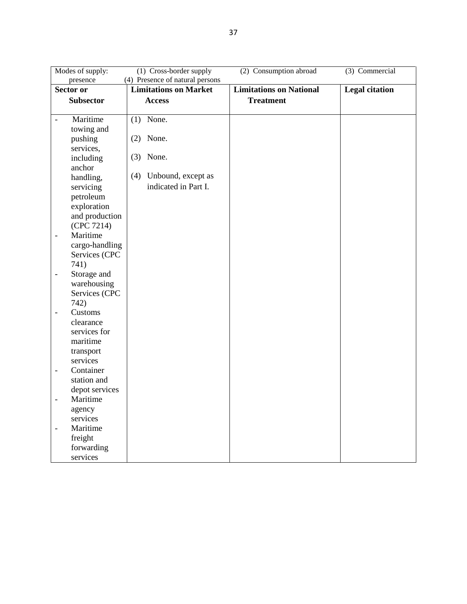| Modes of supply:                            | (1) Cross-border supply         | (2) Consumption abroad         | $(3)$ Commercial      |
|---------------------------------------------|---------------------------------|--------------------------------|-----------------------|
| presence                                    | (4) Presence of natural persons |                                |                       |
| <b>Sector or</b>                            | <b>Limitations on Market</b>    | <b>Limitations on National</b> | <b>Legal citation</b> |
| <b>Subsector</b>                            | <b>Access</b>                   | <b>Treatment</b>               |                       |
|                                             |                                 |                                |                       |
| Maritime<br>$\frac{1}{2}$                   | $(1)$ None.                     |                                |                       |
| towing and                                  |                                 |                                |                       |
| pushing                                     | $(2)$ None.                     |                                |                       |
| services,                                   |                                 |                                |                       |
| including                                   | $(3)$ None.                     |                                |                       |
| anchor                                      |                                 |                                |                       |
| handling,                                   | (4)<br>Unbound, except as       |                                |                       |
| servicing                                   | indicated in Part I.            |                                |                       |
| petroleum                                   |                                 |                                |                       |
| exploration                                 |                                 |                                |                       |
| and production                              |                                 |                                |                       |
| (CPC 7214)                                  |                                 |                                |                       |
| Maritime<br>$\overline{\phantom{a}}$        |                                 |                                |                       |
| cargo-handling                              |                                 |                                |                       |
| Services (CPC                               |                                 |                                |                       |
| 741)                                        |                                 |                                |                       |
| Storage and<br>$\qquad \qquad \blacksquare$ |                                 |                                |                       |
| warehousing                                 |                                 |                                |                       |
| Services (CPC                               |                                 |                                |                       |
| 742)                                        |                                 |                                |                       |
| Customs<br>$\qquad \qquad \blacksquare$     |                                 |                                |                       |
| clearance                                   |                                 |                                |                       |
| services for                                |                                 |                                |                       |
| maritime                                    |                                 |                                |                       |
| transport                                   |                                 |                                |                       |
| services                                    |                                 |                                |                       |
| Container<br>$\qquad \qquad \blacksquare$   |                                 |                                |                       |
| station and                                 |                                 |                                |                       |
| depot services                              |                                 |                                |                       |
| Maritime<br>$\overline{\phantom{0}}$        |                                 |                                |                       |
| agency                                      |                                 |                                |                       |
| services                                    |                                 |                                |                       |
| Maritime<br>$\overline{a}$                  |                                 |                                |                       |
| freight                                     |                                 |                                |                       |
| forwarding                                  |                                 |                                |                       |
| services                                    |                                 |                                |                       |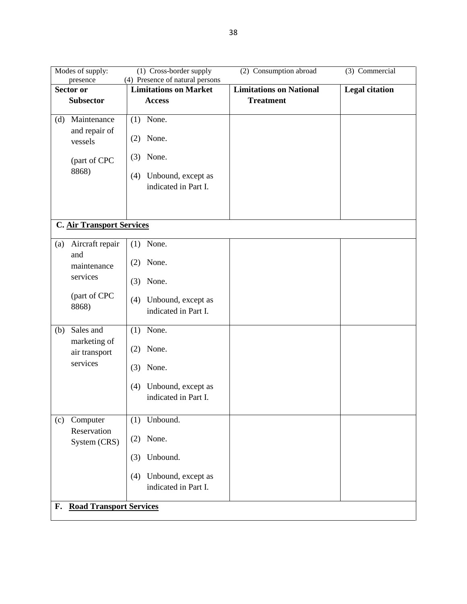| Modes of supply:                 | (1) Cross-border supply                           | (2) Consumption abroad         | (3) Commercial        |
|----------------------------------|---------------------------------------------------|--------------------------------|-----------------------|
| presence                         | (4) Presence of natural persons                   |                                |                       |
| Sector or                        | <b>Limitations on Market</b>                      | <b>Limitations on National</b> | <b>Legal citation</b> |
| <b>Subsector</b>                 | <b>Access</b>                                     | <b>Treatment</b>               |                       |
| Maintenance<br>(d)               | $(1)$ None.                                       |                                |                       |
| and repair of<br>vessels         | None.<br>(2)                                      |                                |                       |
| (part of CPC                     | None.<br>(3)                                      |                                |                       |
| 8868)                            | Unbound, except as<br>(4)<br>indicated in Part I. |                                |                       |
| <b>C. Air Transport Services</b> |                                                   |                                |                       |
|                                  |                                                   |                                |                       |
| Aircraft repair<br>(a)           | None.<br>(1)                                      |                                |                       |
| and<br>maintenance               | None.<br>(2)                                      |                                |                       |
| services                         | None.<br>(3)                                      |                                |                       |
| (part of CPC<br>8868)            | Unbound, except as<br>(4)<br>indicated in Part I. |                                |                       |
| Sales and<br>(b)                 | $(1)$ None.                                       |                                |                       |
| marketing of<br>air transport    | None.<br>(2)                                      |                                |                       |
| services                         | None.<br>(3)                                      |                                |                       |
|                                  | Unbound, except as<br>(4)<br>indicated in Part I. |                                |                       |
| Computer<br>(c)                  | $(1)$ Unbound.                                    |                                |                       |
| Reservation<br>System (CRS)      | $(2)$ None.                                       |                                |                       |
|                                  | Unbound.<br>(3)                                   |                                |                       |
|                                  | Unbound, except as<br>(4)<br>indicated in Part I. |                                |                       |
| F. Road Transport Services       |                                                   |                                |                       |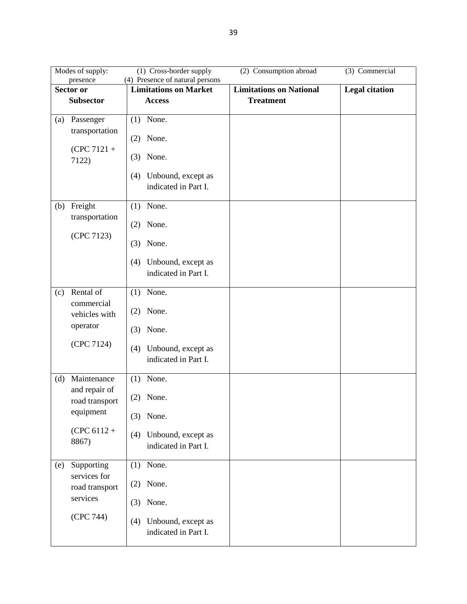| Modes of supply:                                                                             | (2) Consumption abroad<br>(3) Commercial<br>(1) Cross-border supply<br>(4) Presence of natural persons<br>presence |                                |                       |  |  |  |
|----------------------------------------------------------------------------------------------|--------------------------------------------------------------------------------------------------------------------|--------------------------------|-----------------------|--|--|--|
| Sector or                                                                                    | <b>Limitations on Market</b>                                                                                       | <b>Limitations on National</b> | <b>Legal citation</b> |  |  |  |
| <b>Subsector</b>                                                                             | <b>Access</b>                                                                                                      | <b>Treatment</b>               |                       |  |  |  |
| Passenger<br>(a)<br>transportation<br>$(CPC 7121 +$<br>7122)                                 | $(1)$ None.<br>$(2)$ None.<br>None.<br>(3)<br>Unbound, except as<br>(4)<br>indicated in Part I.                    |                                |                       |  |  |  |
| Freight<br>(b)<br>transportation<br>(CPC 7123)                                               | None.<br>(1)<br>None.<br>(2)<br>None.<br>(3)<br>Unbound, except as<br>(4)<br>indicated in Part I.                  |                                |                       |  |  |  |
| Rental of<br>(c)<br>commercial<br>vehicles with<br>operator<br>(CPC 7124)                    | $(1)$ None.<br>None.<br>(2)<br>None.<br>(3)<br>Unbound, except as<br>(4)<br>indicated in Part I.                   |                                |                       |  |  |  |
| Maintenance<br>(d)<br>and repair of<br>road transport<br>equipment<br>$(CPC 6112 +$<br>8867) | $(1)$ None.<br>None.<br>(2)<br>$(3)$ None.<br>Unbound, except as<br>(4)<br>indicated in Part I.                    |                                |                       |  |  |  |
| Supporting<br>(e)<br>services for<br>road transport<br>services<br>(CPC 744)                 | $(1)$ None.<br>$(2)$ None.<br>$(3)$ None.<br>Unbound, except as<br>(4)<br>indicated in Part I.                     |                                |                       |  |  |  |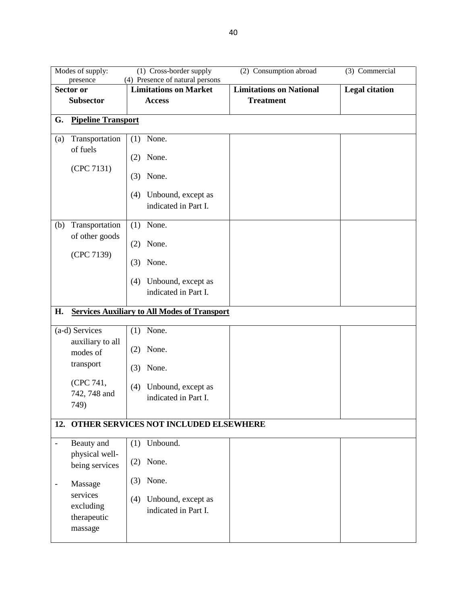|     | (2) Consumption abroad<br>(3) Commercial<br>Modes of supply:<br>(1) Cross-border supply |                                                                 |                                |                       |  |
|-----|-----------------------------------------------------------------------------------------|-----------------------------------------------------------------|--------------------------------|-----------------------|--|
|     | presence<br>Sector or                                                                   | (4) Presence of natural persons<br><b>Limitations on Market</b> | <b>Limitations on National</b> | <b>Legal citation</b> |  |
|     | <b>Subsector</b>                                                                        | <b>Access</b>                                                   | <b>Treatment</b>               |                       |  |
|     |                                                                                         |                                                                 |                                |                       |  |
| G.  | <b>Pipeline Transport</b>                                                               |                                                                 |                                |                       |  |
| (a) | Transportation                                                                          | None.<br>(1)                                                    |                                |                       |  |
|     | of fuels                                                                                | None.<br>(2)                                                    |                                |                       |  |
|     | (CPC 7131)                                                                              | None.<br>(3)                                                    |                                |                       |  |
|     |                                                                                         | Unbound, except as<br>(4)<br>indicated in Part I.               |                                |                       |  |
| (b) | Transportation<br>of other goods                                                        | $(1)$ None.                                                     |                                |                       |  |
|     | (CPC 7139)                                                                              | None.<br>(2)                                                    |                                |                       |  |
|     |                                                                                         | None.<br>(3)                                                    |                                |                       |  |
|     |                                                                                         | Unbound, except as<br>(4)<br>indicated in Part I.               |                                |                       |  |
| Н.  |                                                                                         | <b>Services Auxiliary to All Modes of Transport</b>             |                                |                       |  |
|     | (a-d) Services                                                                          | None.<br>(1)                                                    |                                |                       |  |
|     | auxiliary to all<br>modes of                                                            | None.<br>(2)                                                    |                                |                       |  |
|     | transport                                                                               | None.<br>(3)                                                    |                                |                       |  |
|     | (CPC 741,<br>742, 748 and<br>749)                                                       | Unbound, except as<br>(4)<br>indicated in Part I.               |                                |                       |  |
|     |                                                                                         | 12. OTHER SERVICES NOT INCLUDED ELSEWHERE                       |                                |                       |  |
|     | Beauty and                                                                              | Unbound.<br>(1)                                                 |                                |                       |  |
|     | physical well-<br>being services                                                        | None.<br>(2)                                                    |                                |                       |  |
|     | Massage                                                                                 | None.<br>(3)                                                    |                                |                       |  |
|     | services<br>excluding<br>therapeutic<br>massage                                         | Unbound, except as<br>(4)<br>indicated in Part I.               |                                |                       |  |